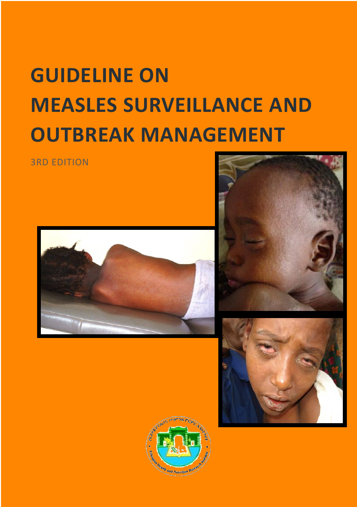# **GUIDELINE ON MEASLES SURVEILLANCE AND OUTBREAK MANAGEMENT**

3RD EDITION







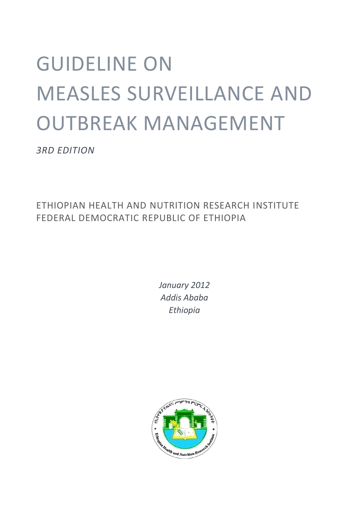# GUIDELINE ON MEASLES SURVEILLANCE AND OUTBREAK MANAGEMENT

*3RD EDITION*

ETHIOPIAN HEALTH AND NUTRITION RESEARCH INSTITUTE FEDERAL DEMOCRATIC REPUBLIC OF ETHIOPIA

> *January 2012 Addis Ababa Ethiopia*

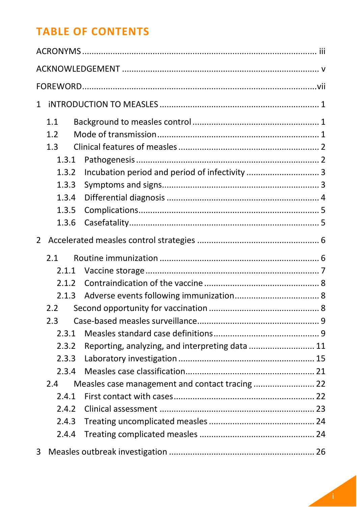# **TABLE OF CONTENTS**

| 1 |       |                                                 |  |  |
|---|-------|-------------------------------------------------|--|--|
|   | 1.1   |                                                 |  |  |
|   | 1.2   |                                                 |  |  |
|   | 1.3   |                                                 |  |  |
|   | 1.3.1 |                                                 |  |  |
|   | 1.3.2 |                                                 |  |  |
|   | 1.3.3 |                                                 |  |  |
|   | 1.3.4 |                                                 |  |  |
|   | 1.3.5 |                                                 |  |  |
|   | 1.3.6 |                                                 |  |  |
| 2 |       |                                                 |  |  |
|   | 2.1   |                                                 |  |  |
|   | 2.1.1 |                                                 |  |  |
|   | 2.1.2 |                                                 |  |  |
|   | 2.1.3 |                                                 |  |  |
|   | 2.2   |                                                 |  |  |
|   | 2.3   |                                                 |  |  |
|   | 2.3.1 |                                                 |  |  |
|   | 2.3.2 | Reporting, analyzing, and interpreting data  11 |  |  |
|   | 2.3.3 |                                                 |  |  |
|   | 2.3.4 |                                                 |  |  |
|   | 2.4   |                                                 |  |  |
|   | 2.4.1 |                                                 |  |  |
|   | 2.4.2 |                                                 |  |  |
|   | 2.4.3 |                                                 |  |  |
|   | 2.4.4 |                                                 |  |  |
| 3 |       |                                                 |  |  |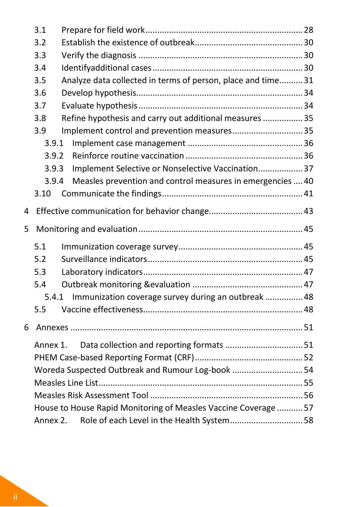|   | 3.1                                                             |                                                              |  |  |  |
|---|-----------------------------------------------------------------|--------------------------------------------------------------|--|--|--|
|   | 3.2                                                             |                                                              |  |  |  |
|   | 3.3                                                             |                                                              |  |  |  |
|   | 3.4                                                             |                                                              |  |  |  |
|   | 3.5                                                             | Analyze data collected in terms of person, place and time 31 |  |  |  |
|   | 3.6                                                             |                                                              |  |  |  |
|   | 3.7                                                             |                                                              |  |  |  |
|   | 3.8                                                             | Refine hypothesis and carry out additional measures  35      |  |  |  |
|   | 3.9                                                             | Implement control and prevention measures 35                 |  |  |  |
|   | 3.9.1                                                           |                                                              |  |  |  |
|   | 3.9.2                                                           |                                                              |  |  |  |
|   | 3.9.3                                                           | Implement Selective or Nonselective Vaccination 37           |  |  |  |
|   | 3.9.4                                                           | Measles prevention and control measures in emergencies  40   |  |  |  |
|   | 3.10                                                            |                                                              |  |  |  |
| 4 |                                                                 |                                                              |  |  |  |
| 5 |                                                                 |                                                              |  |  |  |
|   | 5.1                                                             |                                                              |  |  |  |
|   | 5.2                                                             |                                                              |  |  |  |
|   | 5.3                                                             |                                                              |  |  |  |
|   | 5.4                                                             |                                                              |  |  |  |
|   |                                                                 | 5.4.1 Immunization coverage survey during an outbreak  48    |  |  |  |
|   | 5.5                                                             |                                                              |  |  |  |
| 6 |                                                                 |                                                              |  |  |  |
|   | Annex 1.                                                        | Data collection and reporting formats 51                     |  |  |  |
|   |                                                                 |                                                              |  |  |  |
|   | Woreda Suspected Outbreak and Rumour Log-book 54                |                                                              |  |  |  |
|   |                                                                 |                                                              |  |  |  |
|   |                                                                 |                                                              |  |  |  |
|   | House to House Rapid Monitoring of Measles Vaccine Coverage  57 |                                                              |  |  |  |
|   | Annex 2.                                                        | Role of each Level in the Health System 58                   |  |  |  |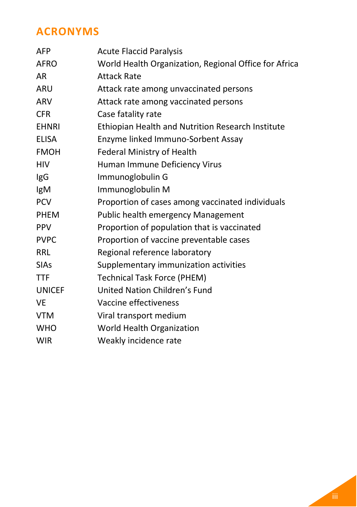# <span id="page-6-0"></span>**ACRONYMS**

| <b>AFP</b>    | <b>Acute Flaccid Paralysis</b>                        |
|---------------|-------------------------------------------------------|
| <b>AFRO</b>   | World Health Organization, Regional Office for Africa |
| AR            | <b>Attack Rate</b>                                    |
| <b>ARU</b>    | Attack rate among unvaccinated persons                |
| ARV           | Attack rate among vaccinated persons                  |
| <b>CFR</b>    | Case fatality rate                                    |
| <b>EHNRI</b>  | Ethiopian Health and Nutrition Research Institute     |
| <b>ELISA</b>  | Enzyme linked Immuno-Sorbent Assay                    |
| <b>FMOH</b>   | Federal Ministry of Health                            |
| <b>HIV</b>    | Human Immune Deficiency Virus                         |
| IgG           | Immunoglobulin G                                      |
| IgM           | Immunoglobulin M                                      |
| <b>PCV</b>    | Proportion of cases among vaccinated individuals      |
| <b>PHEM</b>   | Public health emergency Management                    |
| <b>PPV</b>    | Proportion of population that is vaccinated           |
| <b>PVPC</b>   | Proportion of vaccine preventable cases               |
| <b>RRL</b>    | Regional reference laboratory                         |
| <b>SIAs</b>   | Supplementary immunization activities                 |
| <b>TTF</b>    | <b>Technical Task Force (PHEM)</b>                    |
| <b>UNICEF</b> | United Nation Children's Fund                         |
| <b>VE</b>     | Vaccine effectiveness                                 |
| <b>VTM</b>    | Viral transport medium                                |
| <b>WHO</b>    | World Health Organization                             |
| <b>WIR</b>    | Weakly incidence rate                                 |
|               |                                                       |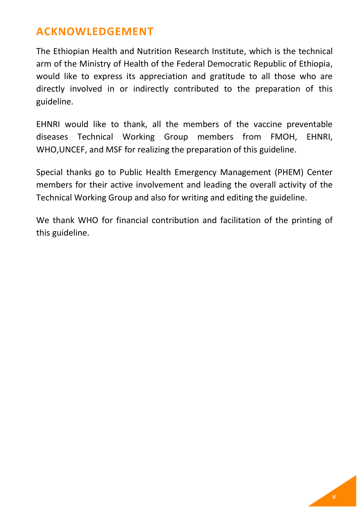# <span id="page-8-0"></span>**ACKNOWLEDGEMENT**

The Ethiopian Health and Nutrition Research Institute, which is the technical arm of the Ministry of Health of the Federal Democratic Republic of Ethiopia, would like to express its appreciation and gratitude to all those who are directly involved in or indirectly contributed to the preparation of this guideline.

EHNRI would like to thank, all the members of the vaccine preventable diseases Technical Working Group members from FMOH, EHNRI, WHO,UNCEF, and MSF for realizing the preparation of this guideline.

Special thanks go to Public Health Emergency Management (PHEM) Center members for their active involvement and leading the overall activity of the Technical Working Group and also for writing and editing the guideline.

We thank WHO for financial contribution and facilitation of the printing of this guideline.

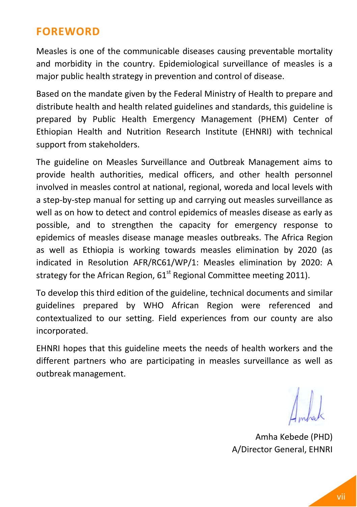# <span id="page-10-0"></span>**FOREWORD**

Measles is one of the communicable diseases causing preventable mortality and morbidity in the country. Epidemiological surveillance of measles is a major public health strategy in prevention and control of disease.

Based on the mandate given by the Federal Ministry of Health to prepare and distribute health and health related guidelines and standards, this guideline is prepared by Public Health Emergency Management (PHEM) Center of Ethiopian Health and Nutrition Research Institute (EHNRI) with technical support from stakeholders.

The guideline on Measles Surveillance and Outbreak Management aims to provide health authorities, medical officers, and other health personnel involved in measles control at national, regional, woreda and local levels with a step-by-step manual for setting up and carrying out measles surveillance as well as on how to detect and control epidemics of measles disease as early as possible, and to strengthen the capacity for emergency response to epidemics of measles disease manage measles outbreaks. The Africa Region as well as Ethiopia is working towards measles elimination by 2020 (as indicated in Resolution AFR/RC61/WP/1: Measles elimination by 2020: A strategy for the African Region,  $61<sup>st</sup>$  Regional Committee meeting 2011).

To develop this third edition of the guideline, technical documents and similar guidelines prepared by WHO African Region were referenced and contextualized to our setting. Field experiences from our county are also incorporated.

EHNRI hopes that this guideline meets the needs of health workers and the different partners who are participating in measles surveillance as well as outbreak management.

Amha Kebede (PHD) A/Director General, EHNRI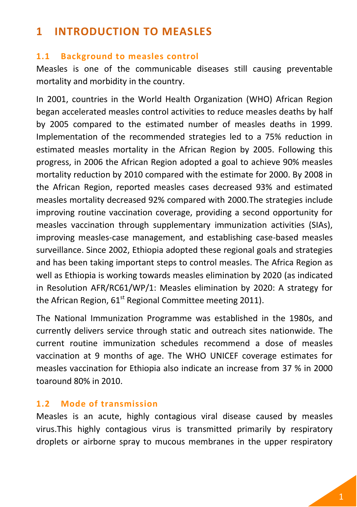# <span id="page-12-0"></span>**1 INTRODUCTION TO MEASLES**

#### <span id="page-12-1"></span>**1.1 Background to measles control**

Measles is one of the communicable diseases still causing preventable mortality and morbidity in the country.

In 2001, countries in the World Health Organization (WHO) African Region began accelerated measles control activities to reduce measles deaths by half by 2005 compared to the estimated number of measles deaths in 1999. Implementation of the recommended strategies led to a 75% reduction in estimated measles mortality in the African Region by 2005. Following this progress, in 2006 the African Region adopted a goal to achieve 90% measles mortality reduction by 2010 compared with the estimate for 2000. By 2008 in the African Region, reported measles cases decreased 93% and estimated measles mortality decreased 92% compared with 2000.The strategies include improving routine vaccination coverage, providing a second opportunity for measles vaccination through supplementary immunization activities (SIAs), improving measles-case management, and establishing case-based measles surveillance. Since 2002, Ethiopia adopted these regional goals and strategies and has been taking important steps to control measles. The Africa Region as well as Ethiopia is working towards measles elimination by 2020 (as indicated in Resolution AFR/RC61/WP/1: Measles elimination by 2020: A strategy for the African Region,  $61<sup>st</sup>$  Regional Committee meeting 2011).

The National Immunization Programme was established in the 1980s, and currently delivers service through static and outreach sites nationwide. The current routine immunization schedules recommend a dose of measles vaccination at 9 months of age. The WHO UNICEF coverage estimates for measles vaccination for Ethiopia also indicate an increase from 37 % in 2000 toaround 80% in 2010.

# <span id="page-12-2"></span>**1.2 Mode of transmission**

Measles is an acute, highly contagious viral disease caused by measles virus.This highly contagious virus is transmitted primarily by respiratory droplets or airborne spray to mucous membranes in the upper respiratory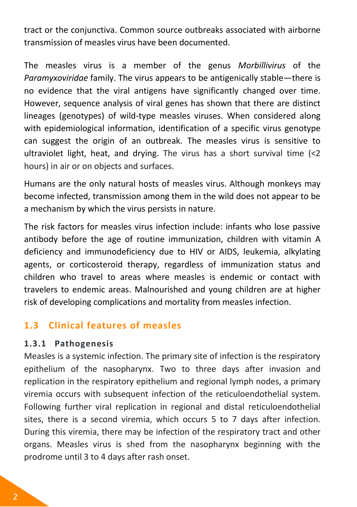tract or the conjunctiva. Common source outbreaks associated with airborne transmission of measles virus have been documented.

The measles virus is a member of the genus *Morbillivirus* of the *Paramyxoviridae* family. The virus appears to be antigenically stable—there is no evidence that the viral antigens have significantly changed over time. However, sequence analysis of viral genes has shown that there are distinct lineages (genotypes) of wild-type measles viruses. When considered along with epidemiological information, identification of a specific virus genotype can suggest the origin of an outbreak. The measles virus is sensitive to ultraviolet light, heat, and drying. The virus has a short survival time  $\langle$ <2 hours) in air or on objects and surfaces.

Humans are the only natural hosts of measles virus. Although monkeys may become infected, transmission among them in the wild does not appear to be a mechanism by which the virus persists in nature.

The risk factors for measles virus infection include: infants who lose passive antibody before the age of routine immunization, children with vitamin A deficiency and immunodeficiency due to HIV or AIDS, leukemia, alkylating agents, or corticosteroid therapy, regardless of immunization status and children who travel to areas where measles is endemic or contact with travelers to endemic areas. Malnourished and young children are at higher risk of developing complications and mortality from measles infection.

# <span id="page-13-0"></span>**1.3 Clinical features of measles**

#### <span id="page-13-1"></span>**1.3.1 Pathogenesis**

Measles is a systemic infection. The primary site of infection is the respiratory epithelium of the nasopharynx. Two to three days after invasion and replication in the respiratory epithelium and regional lymph nodes, a primary viremia occurs with subsequent infection of the reticuloendothelial system. Following further viral replication in regional and distal reticuloendothelial sites, there is a second viremia, which occurs 5 to 7 days after infection. During this viremia, there may be infection of the respiratory tract and other organs. Measles virus is shed from the nasopharynx beginning with the prodrome until 3 to 4 days after rash onset.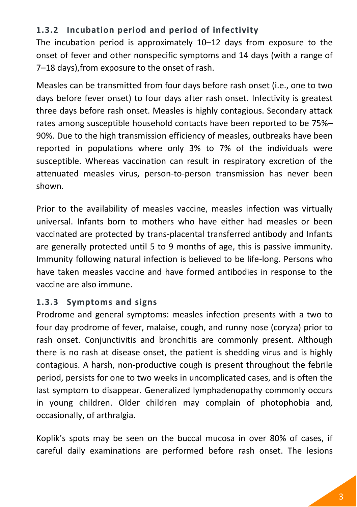# <span id="page-14-0"></span>**1.3.2 Incubation period and period of infectivity**

The incubation period is approximately 10–12 days from exposure to the onset of fever and other nonspecific symptoms and 14 days (with a range of 7–18 days),from exposure to the onset of rash.

Measles can be transmitted from four days before rash onset (i.e., one to two days before fever onset) to four days after rash onset. Infectivity is greatest three days before rash onset. Measles is highly contagious. Secondary attack rates among susceptible household contacts have been reported to be 75%– 90%. Due to the high transmission efficiency of measles, outbreaks have been reported in populations where only 3% to 7% of the individuals were susceptible. Whereas vaccination can result in respiratory excretion of the attenuated measles virus, person-to-person transmission has never been shown.

Prior to the availability of measles vaccine, measles infection was virtually universal. Infants born to mothers who have either had measles or been vaccinated are protected by trans-placental transferred antibody and Infants are generally protected until 5 to 9 months of age, this is passive immunity. Immunity following natural infection is believed to be life-long. Persons who have taken measles vaccine and have formed antibodies in response to the vaccine are also immune.

# <span id="page-14-1"></span>**1.3.3 Symptoms and signs**

Prodrome and general symptoms: measles infection presents with a two to four day prodrome of fever, malaise, cough, and runny nose (coryza) prior to rash onset. Conjunctivitis and bronchitis are commonly present. Although there is no rash at disease onset, the patient is shedding virus and is highly contagious. A harsh, non-productive cough is present throughout the febrile period, persists for one to two weeks in uncomplicated cases, and is often the last symptom to disappear. Generalized lymphadenopathy commonly occurs in young children. Older children may complain of photophobia and, occasionally, of arthralgia.

Koplik's spots may be seen on the buccal mucosa in over 80% of cases, if careful daily examinations are performed before rash onset. The lesions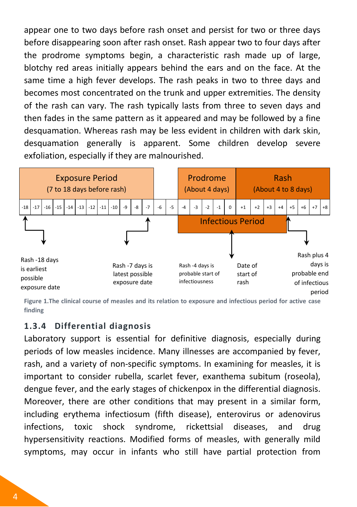appear one to two days before rash onset and persist for two or three days before disappearing soon after rash onset. Rash appear two to four days after the prodrome symptoms begin, a characteristic rash made up of large, blotchy red areas initially appears behind the ears and on the face. At the same time a high fever develops. The rash peaks in two to three days and becomes most concentrated on the trunk and upper extremities. The density of the rash can vary. The rash typically lasts from three to seven days and then fades in the same pattern as it appeared and may be followed by a fine desquamation. Whereas rash may be less evident in children with dark skin, desquamation generally is apparent. Some children develop severe exfoliation, especially if they are malnourished.



**Figure 1.The clinical course of measles and its relation to exposure and infectious period for active case finding**

#### <span id="page-15-0"></span>**1.3.4 Differential diagnosis**

Laboratory support is essential for definitive diagnosis, especially during periods of low measles incidence. Many illnesses are accompanied by fever, rash, and a variety of non-specific symptoms. In examining for measles, it is important to consider rubella, scarlet fever, exanthema subitum (roseola), dengue fever, and the early stages of chickenpox in the differential diagnosis. Moreover, there are other conditions that may present in a similar form, including erythema infectiosum (fifth disease), enterovirus or adenovirus infections, toxic shock syndrome, rickettsial diseases, and drug hypersensitivity reactions. Modified forms of measles, with generally mild symptoms, may occur in infants who still have partial protection from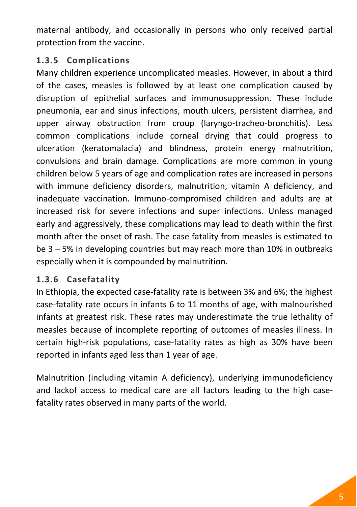maternal antibody, and occasionally in persons who only received partial protection from the vaccine.

# <span id="page-16-0"></span>**1.3.5 Complications**

Many children experience uncomplicated measles. However, in about a third of the cases, measles is followed by at least one complication caused by disruption of epithelial surfaces and immunosuppression. These include pneumonia, ear and sinus infections, mouth ulcers, persistent diarrhea, and upper airway obstruction from croup (laryngo-tracheo-bronchitis). Less common complications include corneal drying that could progress to ulceration (keratomalacia) and blindness, protein energy malnutrition, convulsions and brain damage. Complications are more common in young children below 5 years of age and complication rates are increased in persons with immune deficiency disorders, malnutrition, vitamin A deficiency, and inadequate vaccination. Immuno-compromised children and adults are at increased risk for severe infections and super infections. Unless managed early and aggressively, these complications may lead to death within the first month after the onset of rash. The case fatality from measles is estimated to be 3 – 5% in developing countries but may reach more than 10% in outbreaks especially when it is compounded by malnutrition.

# <span id="page-16-1"></span>**1.3.6 Casefatality**

In Ethiopia, the expected case-fatality rate is between 3% and 6%; the highest case-fatality rate occurs in infants 6 to 11 months of age, with malnourished infants at greatest risk. These rates may underestimate the true lethality of measles because of incomplete reporting of outcomes of measles illness. In certain high-risk populations, case-fatality rates as high as 30% have been reported in infants aged less than 1 year of age.

Malnutrition (including vitamin A deficiency), underlying immunodeficiency and lackof access to medical care are all factors leading to the high casefatality rates observed in many parts of the world.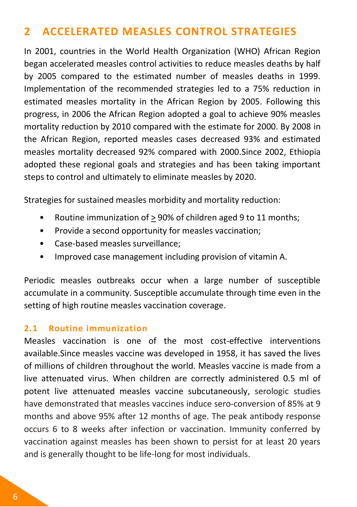# <span id="page-17-0"></span>**2 ACCELERATED MEASLES CONTROL STRATEGIES**

In 2001, countries in the World Health Organization (WHO) African Region began accelerated measles control activities to reduce measles deaths by half by 2005 compared to the estimated number of measles deaths in 1999. Implementation of the recommended strategies led to a 75% reduction in estimated measles mortality in the African Region by 2005. Following this progress, in 2006 the African Region adopted a goal to achieve 90% measles mortality reduction by 2010 compared with the estimate for 2000. By 2008 in the African Region, reported measles cases decreased 93% and estimated measles mortality decreased 92% compared with 2000.Since 2002, Ethiopia adopted these regional goals and strategies and has been taking important steps to control and ultimately to eliminate measles by 2020.

Strategies for sustained measles morbidity and mortality reduction:

- Routine immunization of > 90% of children aged 9 to 11 months;
- Provide a second opportunity for measles vaccination;
- Case-based measles surveillance;
- Improved case management including provision of vitamin A.

Periodic measles outbreaks occur when a large number of susceptible accumulate in a community. Susceptible accumulate through time even in the setting of high routine measles vaccination coverage.

#### <span id="page-17-1"></span>**2.1 Routine immunization**

Measles vaccination is one of the most cost-effective interventions available.Since measles vaccine was developed in 1958, it has saved the lives of millions of children throughout the world. Measles vaccine is made from a live attenuated virus. When children are correctly administered 0.5 ml of potent live attenuated measles vaccine subcutaneously, serologic studies have demonstrated that measles vaccines induce sero-conversion of 85% at 9 months and above 95% after 12 months of age. The peak antibody response occurs 6 to 8 weeks after infection or vaccination. Immunity conferred by vaccination against measles has been shown to persist for at least 20 years and is generally thought to be life-long for most individuals.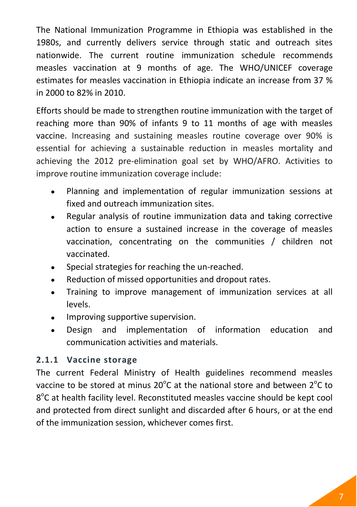The National Immunization Programme in Ethiopia was established in the 1980s, and currently delivers service through static and outreach sites nationwide. The current routine immunization schedule recommends measles vaccination at 9 months of age. The WHO/UNICEF coverage estimates for measles vaccination in Ethiopia indicate an increase from 37 % in 2000 to 82% in 2010.

Efforts should be made to strengthen routine immunization with the target of reaching more than 90% of infants 9 to 11 months of age with measles vaccine. Increasing and sustaining measles routine coverage over 90% is essential for achieving a sustainable reduction in measles mortality and achieving the 2012 pre-elimination goal set by WHO/AFRO. Activities to improve routine immunization coverage include:

- Planning and implementation of regular immunization sessions at  $\bullet$ fixed and outreach immunization sites.
- Regular analysis of routine immunization data and taking corrective  $\bullet$ action to ensure a sustained increase in the coverage of measles vaccination, concentrating on the communities / children not vaccinated.
- Special strategies for reaching the un-reached.
- Reduction of missed opportunities and dropout rates.
- Training to improve management of immunization services at all levels.
- Improving supportive supervision.
- Design and implementation of information education and  $\bullet$ communication activities and materials.

# <span id="page-18-0"></span>**2.1.1 Vaccine storage**

The current Federal Ministry of Health guidelines recommend measles vaccine to be stored at minus 20 $^{\circ}$ C at the national store and between 2 $^{\circ}$ C to 8°C at health facility level. Reconstituted measles vaccine should be kept cool and protected from direct sunlight and discarded after 6 hours, or at the end of the immunization session, whichever comes first.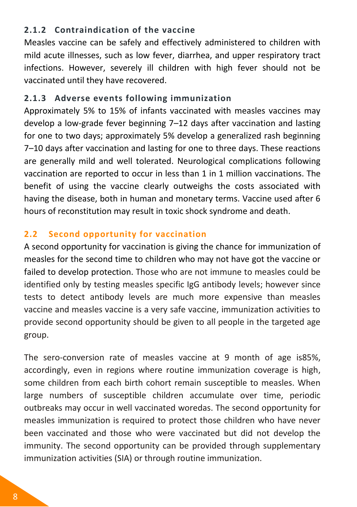# <span id="page-19-0"></span>**2.1.2 Contraindication of the vaccine**

Measles vaccine can be safely and effectively administered to children with mild acute illnesses, such as low fever, diarrhea, and upper respiratory tract infections. However, severely ill children with high fever should not be vaccinated until they have recovered.

# <span id="page-19-1"></span>**2.1.3 Adverse events following immunization**

Approximately 5% to 15% of infants vaccinated with measles vaccines may develop a low-grade fever beginning 7–12 days after vaccination and lasting for one to two days; approximately 5% develop a generalized rash beginning 7–10 days after vaccination and lasting for one to three days. These reactions are generally mild and well tolerated. Neurological complications following vaccination are reported to occur in less than 1 in 1 million vaccinations. The benefit of using the vaccine clearly outweighs the costs associated with having the disease, both in human and monetary terms. Vaccine used after 6 hours of reconstitution may result in toxic shock syndrome and death.

# <span id="page-19-2"></span>**2.2 Second opportunity for vaccination**

A second opportunity for vaccination is giving the chance for immunization of measles for the second time to children who may not have got the vaccine or failed to develop protection. Those who are not immune to measles could be identified only by testing measles specific IgG antibody levels; however since tests to detect antibody levels are much more expensive than measles vaccine and measles vaccine is a very safe vaccine, immunization activities to provide second opportunity should be given to all people in the targeted age group.

The sero-conversion rate of measles vaccine at 9 month of age is85%, accordingly, even in regions where routine immunization coverage is high, some children from each birth cohort remain susceptible to measles. When large numbers of susceptible children accumulate over time, periodic outbreaks may occur in well vaccinated woredas. The second opportunity for measles immunization is required to protect those children who have never been vaccinated and those who were vaccinated but did not develop the immunity. The second opportunity can be provided through supplementary immunization activities (SIA) or through routine immunization.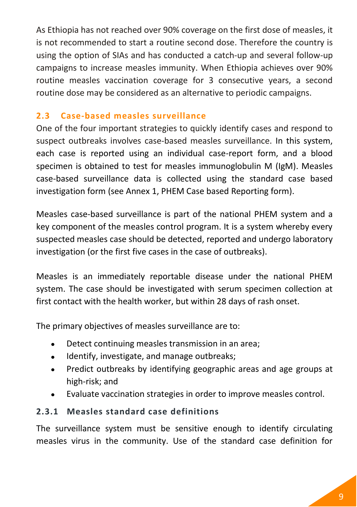As Ethiopia has not reached over 90% coverage on the first dose of measles, it is not recommended to start a routine second dose. Therefore the country is using the option of SIAs and has conducted a catch-up and several follow-up campaigns to increase measles immunity. When Ethiopia achieves over 90% routine measles vaccination coverage for 3 consecutive years, a second routine dose may be considered as an alternative to periodic campaigns.

# <span id="page-20-0"></span>**2.3 Case-based measles surveillance**

One of the four important strategies to quickly identify cases and respond to suspect outbreaks involves case-based measles surveillance. In this system, each case is reported using an individual case-report form, and a blood specimen is obtained to test for measles immunoglobulin M (IgM). Measles case-based surveillance data is collected using the standard case based investigation form (see [Annex 1,](#page-62-1) PHEM Case based Reporting form).

Measles case-based surveillance is part of the national PHEM system and a key component of the measles control program. It is a system whereby every suspected measles case should be detected, reported and undergo laboratory investigation (or the first five cases in the case of outbreaks).

Measles is an immediately reportable disease under the national PHEM system. The case should be investigated with serum specimen collection at first contact with the health worker, but within 28 days of rash onset.

The primary objectives of measles surveillance are to:

- Detect continuing measles transmission in an area;  $\bullet$
- Identify, investigate, and manage outbreaks;  $\bullet$
- Predict outbreaks by identifying geographic areas and age groups at  $\bullet$ high-risk; and
- Evaluate vaccination strategies in order to improve measles control.  $\bullet$

# <span id="page-20-1"></span>**2.3.1 Measles standard case definitions**

The surveillance system must be sensitive enough to identify circulating measles virus in the community. Use of the standard case definition for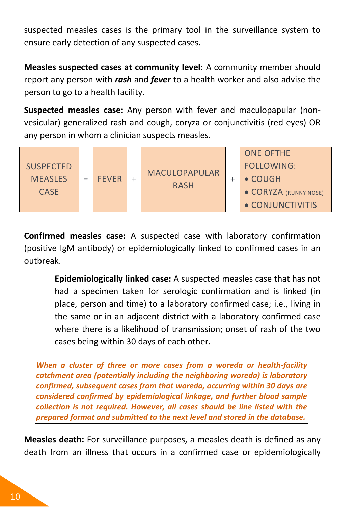suspected measles cases is the primary tool in the surveillance system to ensure early detection of any suspected cases.

**Measles suspected cases at community level:** A community member should report any person with *rash* and *fever* to a health worker and also advise the person to go to a health facility.

**Suspected measles case:** Any person with fever and maculopapular (nonvesicular) generalized rash and cough, coryza or conjunctivitis (red eyes) OR any person in whom a clinician suspects measles.



**Confirmed measles case:** A suspected case with laboratory confirmation (positive IgM antibody) or epidemiologically linked to confirmed cases in an outbreak.

> **Epidemiologically linked case:** A suspected measles case that has not had a specimen taken for serologic confirmation and is linked (in place, person and time) to a laboratory confirmed case; i.e., living in the same or in an adjacent district with a laboratory confirmed case where there is a likelihood of transmission; onset of rash of the two cases being within 30 days of each other.

*When a cluster of three or more cases from a woreda or health-facility catchment area (potentially including the neighboring woreda) is laboratory confirmed, subsequent cases from that woreda, occurring within 30 days are considered confirmed by epidemiological linkage, and further blood sample collection is not required. However, all cases should be line listed with the prepared format and submitted to the next level and stored in the database.*

**Measles death:** For surveillance purposes, a measles death is defined as any death from an illness that occurs in a confirmed case or epidemiologically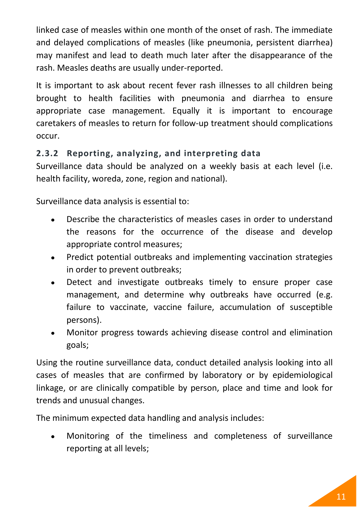linked case of measles within one month of the onset of rash. The immediate and delayed complications of measles (like pneumonia, persistent diarrhea) may manifest and lead to death much later after the disappearance of the rash. Measles deaths are usually under-reported.

It is important to ask about recent fever rash illnesses to all children being brought to health facilities with pneumonia and diarrhea to ensure appropriate case management. Equally it is important to encourage caretakers of measles to return for follow-up treatment should complications occur.

# <span id="page-22-0"></span>**2.3.2 Reporting, analyzing, and interpreting data**

Surveillance data should be analyzed on a weekly basis at each level (i.e. health facility, woreda, zone, region and national).

Surveillance data analysis is essential to:

- Describe the characteristics of measles cases in order to understand the reasons for the occurrence of the disease and develop appropriate control measures;
- Predict potential outbreaks and implementing vaccination strategies  $\bullet$ in order to prevent outbreaks;
- Detect and investigate outbreaks timely to ensure proper case  $\bullet$ management, and determine why outbreaks have occurred (e.g. failure to vaccinate, vaccine failure, accumulation of susceptible persons).
- Monitor progress towards achieving disease control and elimination goals;

Using the routine surveillance data, conduct detailed analysis looking into all cases of measles that are confirmed by laboratory or by epidemiological linkage, or are clinically compatible by person, place and time and look for trends and unusual changes.

The minimum expected data handling and analysis includes:

Monitoring of the timeliness and completeness of surveillance  $\bullet$ reporting at all levels;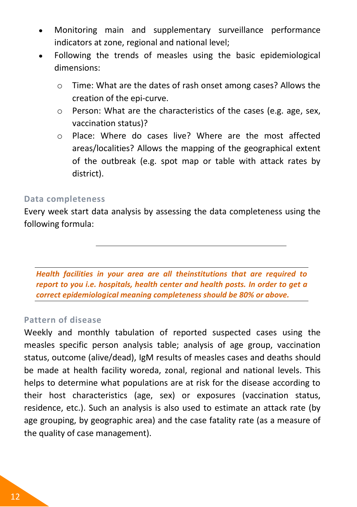- Monitoring main and supplementary surveillance performance  $\bullet$ indicators at zone, regional and national level;
- Following the trends of measles using the basic epidemiological dimensions:
	- o Time: What are the dates of rash onset among cases? Allows the creation of the epi-curve.
	- o Person: What are the characteristics of the cases (e.g. age, sex, vaccination status)?
	- o Place: Where do cases live? Where are the most affected areas/localities? Allows the mapping of the geographical extent of the outbreak (e.g. spot map or table with attack rates by district).

#### **Data completeness**

Every week start data analysis by assessing the data completeness using the following formula:

*Health facilities in your area are all theinstitutions that are required to report to you i.e. hospitals, health center and health posts. In order to get a correct epidemiological meaning completeness should be 80% or above.*

#### **Pattern of disease**

Weekly and monthly tabulation of reported suspected cases using the measles specific person analysis table; analysis of age group, vaccination status, outcome (alive/dead), IgM results of measles cases and deaths should be made at health facility woreda, zonal, regional and national levels. This helps to determine what populations are at risk for the disease according to their host characteristics (age, sex) or exposures (vaccination status, residence, etc.). Such an analysis is also used to estimate an attack rate (by age grouping, by geographic area) and the case fatality rate (as a measure of the quality of case management).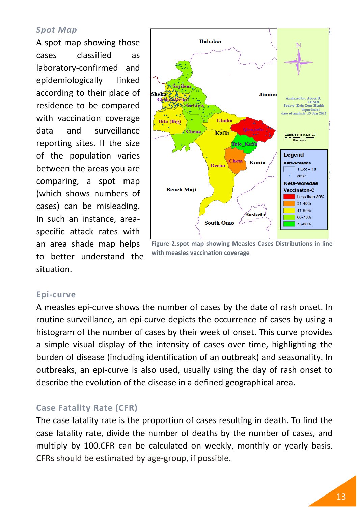#### *Spot Map*

A spot map showing those cases classified as laboratory-confirmed and epidemiologically linked according to their place of residence to be compared with vaccination coverage data and surveillance reporting sites. If the size of the population varies between the areas you are comparing, a spot map (which shows numbers of cases) can be misleading. In such an instance, areaspecific attack rates with an area shade map helps to better understand the situation.



**Figure 2.spot map showing Measles Cases Distributions in line with measles vaccination coverage**

#### **Epi-curve**

A measles epi-curve shows the number of cases by the date of rash onset. In routine surveillance, an epi-curve depicts the occurrence of cases by using a histogram of the number of cases by their week of onset. This curve provides a simple visual display of the intensity of cases over time, highlighting the burden of disease (including identification of an outbreak) and seasonality. In outbreaks, an epi-curve is also used, usually using the day of rash onset to describe the evolution of the disease in a defined geographical area.

#### **Case Fatality Rate (CFR)**

The case fatality rate is the proportion of cases resulting in death. To find the case fatality rate, divide the number of deaths by the number of cases, and multiply by 100.CFR can be calculated on weekly, monthly or yearly basis. CFRs should be estimated by age-group, if possible.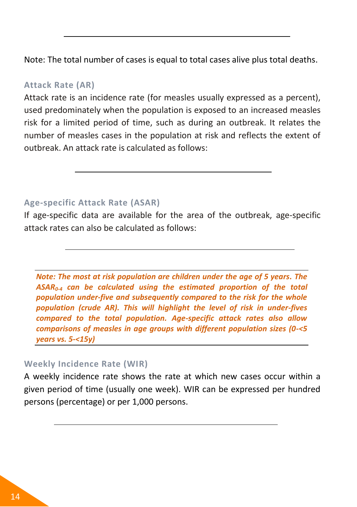Note: The total number of cases is equal to total cases alive plus total deaths.

#### **Attack Rate (AR)**

Attack rate is an incidence rate (for measles usually expressed as a percent), used predominately when the population is exposed to an increased measles risk for a limited period of time, such as during an outbreak. It relates the number of measles cases in the population at risk and reflects the extent of outbreak. An attack rate is calculated as follows:

#### **Age-specific Attack Rate (ASAR)**

If age-specific data are available for the area of the outbreak, age-specific attack rates can also be calculated as follows:

*Note: The most at risk population are children under the age of 5 years. The ASAR0-4 can be calculated using the estimated proportion of the total population under-five and subsequently compared to the risk for the whole population (crude AR). This will highlight the level of risk in under-fives compared to the total population. Age-specific attack rates also allow comparisons of measles in age groups with different population sizes (0-<5 years vs. 5-<15y)*

#### **Weekly Incidence Rate (WIR)**

A weekly incidence rate shows the rate at which new cases occur within a given period of time (usually one week). WIR can be expressed per hundred persons (percentage) or per 1,000 persons.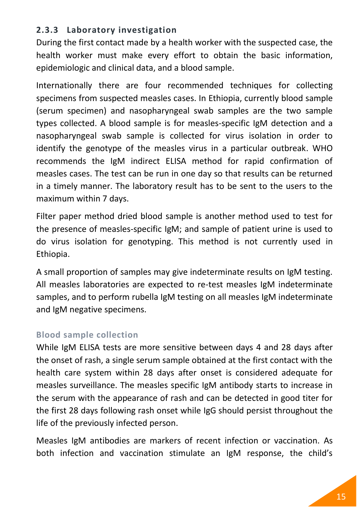# <span id="page-26-0"></span>**2.3.3 Laboratory investigation**

During the first contact made by a health worker with the suspected case, the health worker must make every effort to obtain the basic information, epidemiologic and clinical data, and a blood sample.

Internationally there are four recommended techniques for collecting specimens from suspected measles cases. In Ethiopia, currently blood sample (serum specimen) and nasopharyngeal swab samples are the two sample types collected. A blood sample is for measles-specific IgM detection and a nasopharyngeal swab sample is collected for virus isolation in order to identify the genotype of the measles virus in a particular outbreak. WHO recommends the IgM indirect ELISA method for rapid confirmation of measles cases. The test can be run in one day so that results can be returned in a timely manner. The laboratory result has to be sent to the users to the maximum within 7 days.

Filter paper method dried blood sample is another method used to test for the presence of measles-specific IgM; and sample of patient urine is used to do virus isolation for genotyping. This method is not currently used in Ethiopia.

A small proportion of samples may give indeterminate results on IgM testing. All measles laboratories are expected to re-test measles IgM indeterminate samples, and to perform rubella IgM testing on all measles IgM indeterminate and IgM negative specimens.

# **Blood sample collection**

While IgM ELISA tests are more sensitive between days 4 and 28 days after the onset of rash, a single serum sample obtained at the first contact with the health care system within 28 days after onset is considered adequate for measles surveillance. The measles specific IgM antibody starts to increase in the serum with the appearance of rash and can be detected in good titer for the first 28 days following rash onset while IgG should persist throughout the life of the previously infected person.

Measles IgM antibodies are markers of recent infection or vaccination. As both infection and vaccination stimulate an IgM response, the child's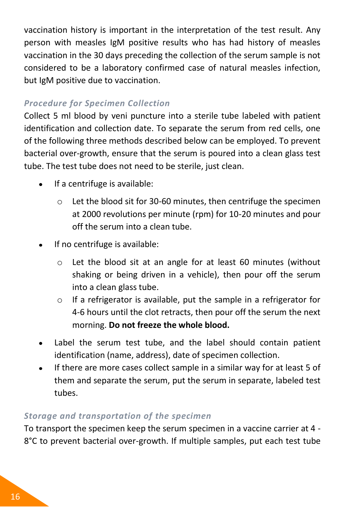vaccination history is important in the interpretation of the test result. Any person with measles IgM positive results who has had history of measles vaccination in the 30 days preceding the collection of the serum sample is not considered to be a laboratory confirmed case of natural measles infection, but IgM positive due to vaccination.

# *Procedure for Specimen Collection*

Collect 5 ml blood by veni puncture into a sterile tube labeled with patient identification and collection date. To separate the serum from red cells, one of the following three methods described below can be employed. To prevent bacterial over-growth, ensure that the serum is poured into a clean glass test tube. The test tube does not need to be sterile, just clean.

- If a centrifuge is available:  $\bullet$ 
	- o Let the blood sit for 30-60 minutes, then centrifuge the specimen at 2000 revolutions per minute (rpm) for 10-20 minutes and pour off the serum into a clean tube.
- If no centrifuge is available:
	- o Let the blood sit at an angle for at least 60 minutes (without shaking or being driven in a vehicle), then pour off the serum into a clean glass tube.
	- o If a refrigerator is available, put the sample in a refrigerator for 4-6 hours until the clot retracts, then pour off the serum the next morning. **Do not freeze the whole blood.**
- Label the serum test tube, and the label should contain patient  $\bullet$ identification (name, address), date of specimen collection.
- If there are more cases collect sample in a similar way for at least 5 of  $\bullet$ them and separate the serum, put the serum in separate, labeled test tubes.

# *Storage and transportation of the specimen*

To transport the specimen keep the serum specimen in a vaccine carrier at 4 - 8°C to prevent bacterial over-growth. If multiple samples, put each test tube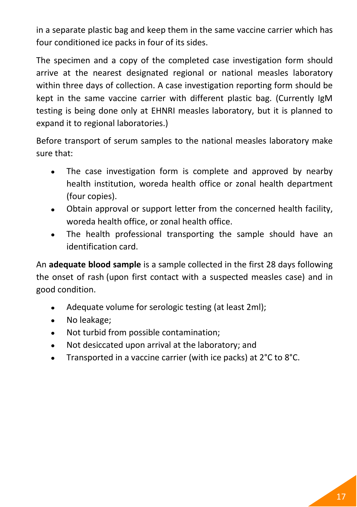in a separate plastic bag and keep them in the same vaccine carrier which has four conditioned ice packs in four of its sides.

The specimen and a copy of the completed case investigation form should arrive at the nearest designated regional or national measles laboratory within three days of collection. A case investigation reporting form should be kept in the same vaccine carrier with different plastic bag. (Currently IgM testing is being done only at EHNRI measles laboratory, but it is planned to expand it to regional laboratories.)

Before transport of serum samples to the national measles laboratory make sure that:

- The case investigation form is complete and approved by nearby  $\bullet$ health institution, woreda health office or zonal health department (four copies).
- Obtain approval or support letter from the concerned health facility,  $\bullet$ woreda health office, or zonal health office.
- The health professional transporting the sample should have an identification card.

An **adequate blood sample** is a sample collected in the first 28 days following the onset of rash (upon first contact with a suspected measles case) and in good condition.

- Adequate volume for serologic testing (at least 2ml);  $\bullet$
- No leakage;  $\bullet$
- Not turbid from possible contamination;
- Not desiccated upon arrival at the laboratory; and
- Transported in a vaccine carrier (with ice packs) at 2°C to 8°C.  $\bullet$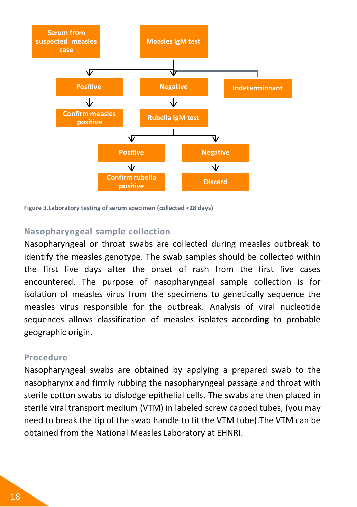

**Figure 3.Laboratory testing of serum specimen (collected <28 days)**

#### **Nasopharyngeal sample collection**

Nasopharyngeal or throat swabs are collected during measles outbreak to identify the measles genotype. The swab samples should be collected within the first five days after the onset of rash from the first five cases encountered. The purpose of nasopharyngeal sample collection is for isolation of measles virus from the specimens to genetically sequence the measles virus responsible for the outbreak. Analysis of viral nucleotide sequences allows classification of measles isolates according to probable geographic origin.

#### **Procedure**

Nasopharyngeal swabs are obtained by applying a prepared swab to the nasopharynx and firmly rubbing the nasopharyngeal passage and throat with sterile cotton swabs to dislodge epithelial cells. The swabs are then placed in sterile viral transport medium (VTM) in labeled screw capped tubes, (you may need to break the tip of the swab handle to fit the VTM tube).The VTM can be obtained from the National Measles Laboratory at EHNRI.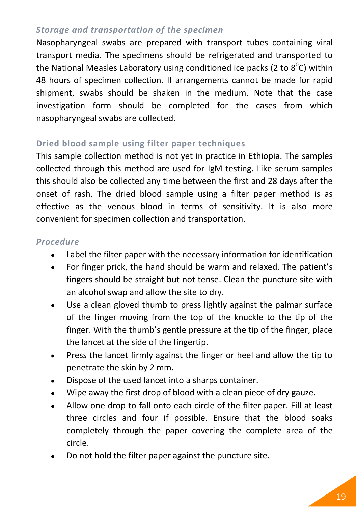## *Storage and transportation of the specimen*

Nasopharyngeal swabs are prepared with transport tubes containing viral transport media. The specimens should be refrigerated and transported to the National Measles Laboratory using conditioned ice packs (2 to 8<sup>o</sup>C) within 48 hours of specimen collection. If arrangements cannot be made for rapid shipment, swabs should be shaken in the medium. Note that the case investigation form should be completed for the cases from which nasopharyngeal swabs are collected.

# **Dried blood sample using filter paper techniques**

This sample collection method is not yet in practice in Ethiopia. The samples collected through this method are used for IgM testing. Like serum samples this should also be collected any time between the first and 28 days after the onset of rash. The dried blood sample using a filter paper method is as effective as the venous blood in terms of sensitivity. It is also more convenient for specimen collection and transportation.

#### *Procedure*

- Label the filter paper with the necessary information for identification  $\bullet$
- For finger prick, the hand should be warm and relaxed. The patient's  $\bullet$ fingers should be straight but not tense. Clean the puncture site with an alcohol swap and allow the site to dry.
- Use a clean gloved thumb to press lightly against the palmar surface  $\bullet$ of the finger moving from the top of the knuckle to the tip of the finger. With the thumb's gentle pressure at the tip of the finger, place the lancet at the side of the fingertip.
- Press the lancet firmly against the finger or heel and allow the tip to  $\bullet$ penetrate the skin by 2 mm.
- Dispose of the used lancet into a sharps container.
- Wipe away the first drop of blood with a clean piece of dry gauze.  $\bullet$
- Allow one drop to fall onto each circle of the filter paper. Fill at least three circles and four if possible. Ensure that the blood soaks completely through the paper covering the complete area of the circle.
- Do not hold the filter paper against the puncture site.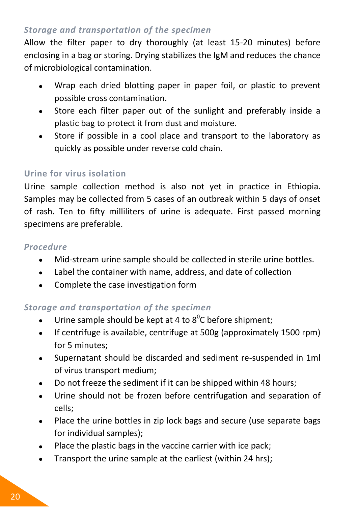## *Storage and transportation of the specimen*

Allow the filter paper to dry thoroughly (at least 15-20 minutes) before enclosing in a bag or storing. Drying stabilizes the IgM and reduces the chance of microbiological contamination.

- Wrap each dried blotting paper in paper foil, or plastic to prevent  $\bullet$ possible cross contamination.
- Store each filter paper out of the sunlight and preferably inside a  $\bullet$ plastic bag to protect it from dust and moisture.
- Store if possible in a cool place and transport to the laboratory as  $\bullet$ quickly as possible under reverse cold chain.

# **Urine for virus isolation**

Urine sample collection method is also not yet in practice in Ethiopia. Samples may be collected from 5 cases of an outbreak within 5 days of onset of rash. Ten to fifty milliliters of urine is adequate. First passed morning specimens are preferable.

#### *Procedure*

- Mid-stream urine sample should be collected in sterile urine bottles.  $\bullet$
- Label the container with name, address, and date of collection
- Complete the case investigation form  $\bullet$

# *Storage and transportation of the specimen*

- Urine sample should be kept at 4 to  $8^{\circ}$ C before shipment;  $\bullet$
- If centrifuge is available, centrifuge at 500g (approximately 1500 rpm)  $\bullet$ for 5 minutes;
- Supernatant should be discarded and sediment re-suspended in 1ml of virus transport medium;
- Do not freeze the sediment if it can be shipped within 48 hours;  $\bullet$
- Urine should not be frozen before centrifugation and separation of  $\bullet$ cells;
- Place the urine bottles in zip lock bags and secure (use separate bags  $\bullet$ for individual samples);
- Place the plastic bags in the vaccine carrier with ice pack;  $\bullet$
- Transport the urine sample at the earliest (within 24 hrs); $\bullet$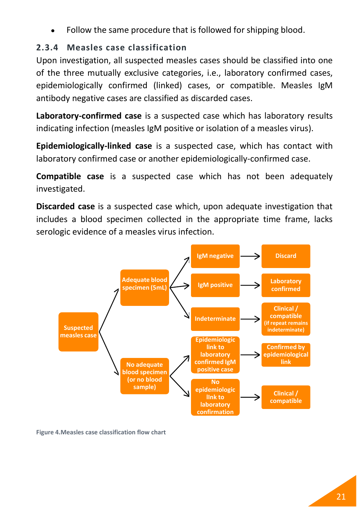Follow the same procedure that is followed for shipping blood.

# <span id="page-32-0"></span>**2.3.4 Measles case classification**

Upon investigation, all suspected measles cases should be classified into one of the three mutually exclusive categories, i.e., laboratory confirmed cases, epidemiologically confirmed (linked) cases, or compatible. Measles IgM antibody negative cases are classified as discarded cases.

**Laboratory-confirmed case** is a suspected case which has laboratory results indicating infection (measles IgM positive or isolation of a measles virus).

**Epidemiologically-linked case** is a suspected case, which has contact with laboratory confirmed case or another epidemiologically-confirmed case.

**Compatible case** is a suspected case which has not been adequately investigated.

**Discarded case** is a suspected case which, upon adequate investigation that includes a blood specimen collected in the appropriate time frame, lacks serologic evidence of a measles virus infection.



**Figure 4.Measles case classification flow chart**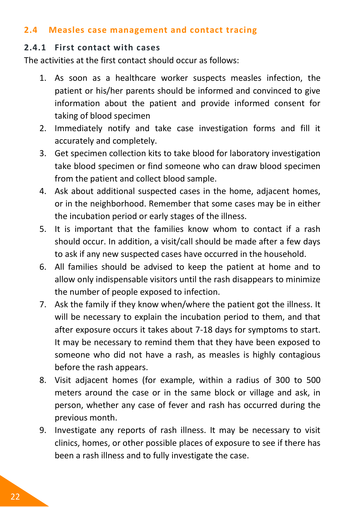#### <span id="page-33-0"></span>**2.4 Measles case management and contact tracing**

### <span id="page-33-1"></span>**2.4.1 First contact with cases**

The activities at the first contact should occur as follows:

- 1. As soon as a healthcare worker suspects measles infection, the patient or his/her parents should be informed and convinced to give information about the patient and provide informed consent for taking of blood specimen
- 2. Immediately notify and take case investigation forms and fill it accurately and completely.
- 3. Get specimen collection kits to take blood for laboratory investigation take blood specimen or find someone who can draw blood specimen from the patient and collect blood sample.
- 4. Ask about additional suspected cases in the home, adjacent homes, or in the neighborhood. Remember that some cases may be in either the incubation period or early stages of the illness.
- 5. It is important that the families know whom to contact if a rash should occur. In addition, a visit/call should be made after a few days to ask if any new suspected cases have occurred in the household.
- 6. All families should be advised to keep the patient at home and to allow only indispensable visitors until the rash disappears to minimize the number of people exposed to infection.
- 7. Ask the family if they know when/where the patient got the illness. It will be necessary to explain the incubation period to them, and that after exposure occurs it takes about 7-18 days for symptoms to start. It may be necessary to remind them that they have been exposed to someone who did not have a rash, as measles is highly contagious before the rash appears.
- 8. Visit adjacent homes (for example, within a radius of 300 to 500 meters around the case or in the same block or village and ask, in person, whether any case of fever and rash has occurred during the previous month.
- 9. Investigate any reports of rash illness. It may be necessary to visit clinics, homes, or other possible places of exposure to see if there has been a rash illness and to fully investigate the case.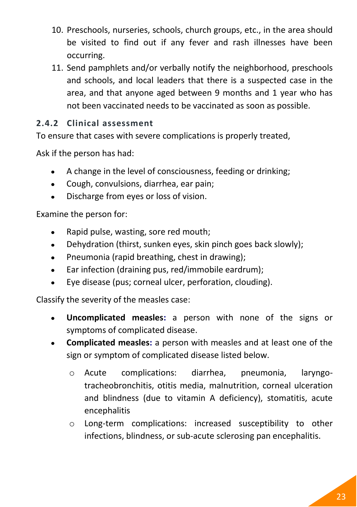- 10. Preschools, nurseries, schools, church groups, etc., in the area should be visited to find out if any fever and rash illnesses have been occurring.
- 11. Send pamphlets and/or verbally notify the neighborhood, preschools and schools, and local leaders that there is a suspected case in the area, and that anyone aged between 9 months and 1 year who has not been vaccinated needs to be vaccinated as soon as possible.

# <span id="page-34-0"></span>**2.4.2 Clinical assessment**

To ensure that cases with severe complications is properly treated,

Ask if the person has had:

- A change in the level of consciousness, feeding or drinking;  $\bullet$
- Cough, convulsions, diarrhea, ear pain;
- Discharge from eyes or loss of vision.  $\bullet$

Examine the person for:

- Rapid pulse, wasting, sore red mouth;  $\bullet$
- Dehydration (thirst, sunken eyes, skin pinch goes back slowly);  $\bullet$
- Pneumonia (rapid breathing, chest in drawing);  $\bullet$
- Ear infection (draining pus, red/immobile eardrum);  $\bullet$
- Eye disease (pus; corneal ulcer, perforation, clouding).  $\bullet$

Classify the severity of the measles case:

- **Uncomplicated measles:** a person with none of the signs or  $\bullet$ symptoms of complicated disease.
- **Complicated measles:** a person with measles and at least one of the  $\bullet$ sign or symptom of complicated disease listed below.
	- o Acute complications: diarrhea, pneumonia, laryngotracheobronchitis, otitis media, malnutrition, corneal ulceration and blindness (due to vitamin A deficiency), stomatitis, acute encephalitis
	- o Long-term complications: increased susceptibility to other infections, blindness, or sub-acute sclerosing pan encephalitis.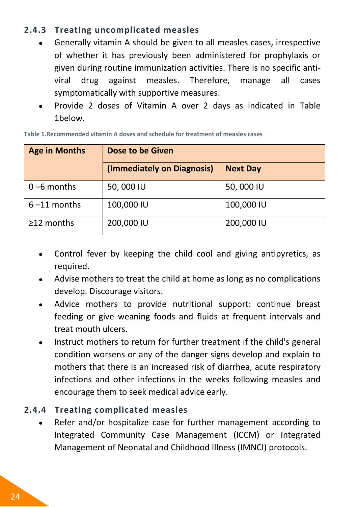# <span id="page-35-0"></span>**2.4.3 Treating uncomplicated measles**

- Generally vitamin A should be given to all measles cases, irrespective  $\bullet$ of whether it has previously been administered for prophylaxis or given during routine immunization activities. There is no specific antiviral drug against measles. Therefore, manage all cases symptomatically with supportive measures.
- Provide 2 doses of Vitamin A over 2 days as indicated in [Table](#page-35-2)   $\bullet$ [1b](#page-35-2)elow.

| <b>Age in Months</b> | Dose to be Given           |                 |  |
|----------------------|----------------------------|-----------------|--|
|                      | (Immediately on Diagnosis) | <b>Next Day</b> |  |
| $0 - 6$ months       | 50,000 IU                  | 50,000 IU       |  |
| $6 - 11$ months      | 100,000 IU                 | 100,000 IU      |  |
| $\geq$ 12 months     | 200,000 IU                 | 200,000 IU      |  |

<span id="page-35-2"></span>**Table 1.Recommended vitamin A doses and schedule for treatment of measles cases**

- Control fever by keeping the child cool and giving antipyretics, as  $\bullet$ required.
- Advise mothers to treat the child at home as long as no complications develop. Discourage visitors.
- Advice mothers to provide nutritional support: continue breast feeding or give weaning foods and fluids at frequent intervals and treat mouth ulcers.
- Instruct mothers to return for further treatment if the child's general condition worsens or any of the danger signs develop and explain to mothers that there is an increased risk of diarrhea, acute respiratory infections and other infections in the weeks following measles and encourage them to seek medical advice early.

# <span id="page-35-1"></span>**2.4.4 Treating complicated measles**

Refer and/or hospitalize case for further management according to  $\bullet$ Integrated Community Case Management (ICCM) or Integrated Management of Neonatal and Childhood Illness (IMNCI) protocols.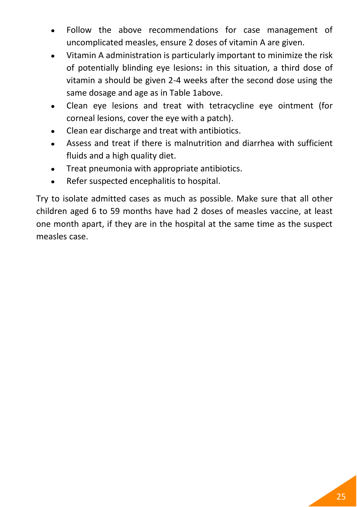- Follow the above recommendations for case management of uncomplicated measles, ensure 2 doses of vitamin A are given.
- Vitamin A administration is particularly important to minimize the risk of potentially blinding eye lesions**:** in this situation, a third dose of vitamin a should be given 2-4 weeks after the second dose using the same dosage and age as i[n Table 1above.](#page-35-0)
- Clean eye lesions and treat with tetracycline eye ointment (for  $\bullet$ corneal lesions, cover the eye with a patch).
- Clean ear discharge and treat with antibiotics.
- Assess and treat if there is malnutrition and diarrhea with sufficient fluids and a high quality diet.
- Treat pneumonia with appropriate antibiotics.
- Refer suspected encephalitis to hospital.  $\bullet$

Try to isolate admitted cases as much as possible. Make sure that all other children aged 6 to 59 months have had 2 doses of measles vaccine, at least one month apart, if they are in the hospital at the same time as the suspect measles case.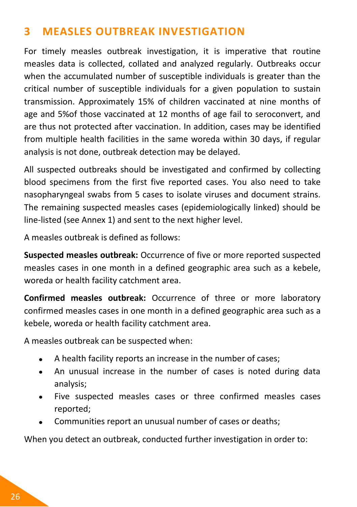# **3 MEASLES OUTBREAK INVESTIGATION**

For timely measles outbreak investigation, it is imperative that routine measles data is collected, collated and analyzed regularly. Outbreaks occur when the accumulated number of susceptible individuals is greater than the critical number of susceptible individuals for a given population to sustain transmission. Approximately 15% of children vaccinated at nine months of age and 5%of those vaccinated at 12 months of age fail to seroconvert, and are thus not protected after vaccination. In addition, cases may be identified from multiple health facilities in the same woreda within 30 days, if regular analysis is not done, outbreak detection may be delayed.

All suspected outbreaks should be investigated and confirmed by collecting blood specimens from the first five reported cases. You also need to take nasopharyngeal swabs from 5 cases to isolate viruses and document strains. The remaining suspected measles cases (epidemiologically linked) should be line-listed (see [Annex 1\)](#page-62-0) and sent to the next higher level.

A measles outbreak is defined as follows:

**Suspected measles outbreak:** Occurrence of five or more reported suspected measles cases in one month in a defined geographic area such as a kebele, woreda or health facility catchment area.

**Confirmed measles outbreak:** Occurrence of three or more laboratory confirmed measles cases in one month in a defined geographic area such as a kebele, woreda or health facility catchment area.

A measles outbreak can be suspected when:

- A health facility reports an increase in the number of cases;
- An unusual increase in the number of cases is noted during data  $\bullet$ analysis;
- Five suspected measles cases or three confirmed measles cases  $\bullet$ reported;
- Communities report an unusual number of cases or deaths;  $\bullet$

When you detect an outbreak, conducted further investigation in order to: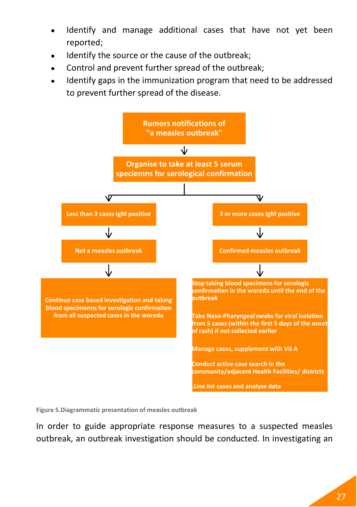- Identify and manage additional cases that have not yet been reported;
- Identify the source or the cause of the outbreak;
- Control and prevent further spread of the outbreak;
- Identify gaps in the immunization program that need to be addressed to prevent further spread of the disease.



**Figure 5.Diagrammatic presentation of measles outbreak**

In order to guide appropriate response measures to a suspected measles outbreak, an outbreak investigation should be conducted. In investigating an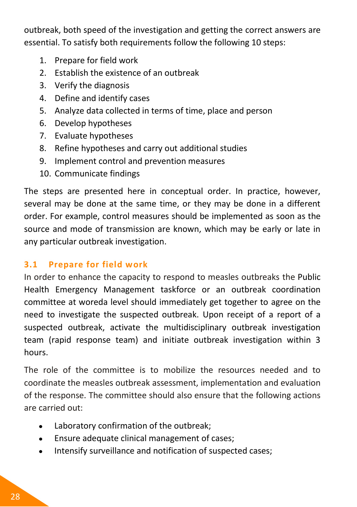outbreak, both speed of the investigation and getting the correct answers are essential. To satisfy both requirements follow the following 10 steps:

- 1. Prepare for field work
- 2. Establish the existence of an outbreak
- 3. Verify the diagnosis
- 4. Define and identify cases
- 5. Analyze data collected in terms of time, place and person
- 6. Develop hypotheses
- 7. Evaluate hypotheses
- 8. Refine hypotheses and carry out additional studies
- 9. Implement control and prevention measures
- 10. Communicate findings

The steps are presented here in conceptual order. In practice, however, several may be done at the same time, or they may be done in a different order. For example, control measures should be implemented as soon as the source and mode of transmission are known, which may be early or late in any particular outbreak investigation.

# **3.1 Prepare for field work**

In order to enhance the capacity to respond to measles outbreaks the Public Health Emergency Management taskforce or an outbreak coordination committee at woreda level should immediately get together to agree on the need to investigate the suspected outbreak. Upon receipt of a report of a suspected outbreak, activate the multidisciplinary outbreak investigation team (rapid response team) and initiate outbreak investigation within 3 hours.

The role of the committee is to mobilize the resources needed and to coordinate the measles outbreak assessment, implementation and evaluation of the response. The committee should also ensure that the following actions are carried out:

- Laboratory confirmation of the outbreak;
- Ensure adequate clinical management of cases;  $\bullet$
- Intensify surveillance and notification of suspected cases; $\bullet$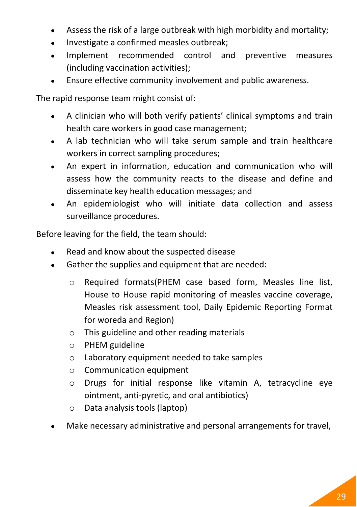- Assess the risk of a large outbreak with high morbidity and mortality;  $\bullet$
- Investigate a confirmed measles outbreak;  $\bullet$
- Implement recommended control and preventive measures  $\bullet$ (including vaccination activities);
- Ensure effective community involvement and public awareness.

The rapid response team might consist of:

- A clinician who will both verify patients' clinical symptoms and train  $\bullet$ health care workers in good case management;
- A lab technician who will take serum sample and train healthcare  $\bullet$ workers in correct sampling procedures;
- An expert in information, education and communication who will  $\bullet$ assess how the community reacts to the disease and define and disseminate key health education messages; and
- An epidemiologist who will initiate data collection and assess  $\bullet$ surveillance procedures.

Before leaving for the field, the team should:

- Read and know about the suspected disease
- Gather the supplies and equipment that are needed:
	- o Required formats(PHEM case based form, Measles line list, House to House rapid monitoring of measles vaccine coverage, Measles risk assessment tool, Daily Epidemic Reporting Format for woreda and Region)
	- o This guideline and other reading materials
	- o PHEM guideline
	- o Laboratory equipment needed to take samples
	- o Communication equipment
	- o Drugs for initial response like vitamin A, tetracycline eye ointment, anti-pyretic, and oral antibiotics)
	- o Data analysis tools (laptop)
- Make necessary administrative and personal arrangements for travel,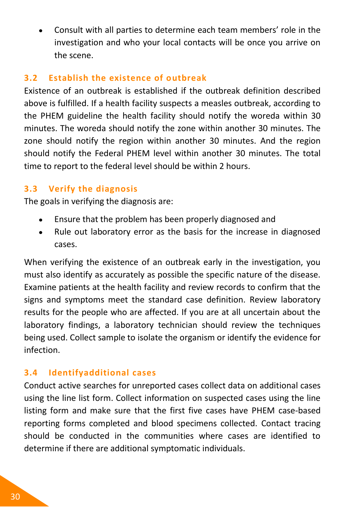Consult with all parties to determine each team members' role in the investigation and who your local contacts will be once you arrive on the scene.

#### **3.2 Establish the existence of outbreak**

Existence of an outbreak is established if the outbreak definition described above is fulfilled. If a health facility suspects a measles outbreak, according to the PHEM guideline the health facility should notify the woreda within 30 minutes. The woreda should notify the zone within another 30 minutes. The zone should notify the region within another 30 minutes. And the region should notify the Federal PHEM level within another 30 minutes. The total time to report to the federal level should be within 2 hours.

# **3.3 Verify the diagnosis**

The goals in verifying the diagnosis are:

- Ensure that the problem has been properly diagnosed and  $\bullet$
- Rule out laboratory error as the basis for the increase in diagnosed cases.

When verifying the existence of an outbreak early in the investigation, you must also identify as accurately as possible the specific nature of the disease. Examine patients at the health facility and review records to confirm that the signs and symptoms meet the standard case definition. Review laboratory results for the people who are affected. If you are at all uncertain about the laboratory findings, a laboratory technician should review the techniques being used. Collect sample to isolate the organism or identify the evidence for infection.

# **3.4 Identifyadditional cases**

Conduct active searches for unreported cases collect data on additional cases using the line list form. Collect information on suspected cases using the line listing form and make sure that the first five cases have PHEM case-based reporting forms completed and blood specimens collected. Contact tracing should be conducted in the communities where cases are identified to determine if there are additional symptomatic individuals.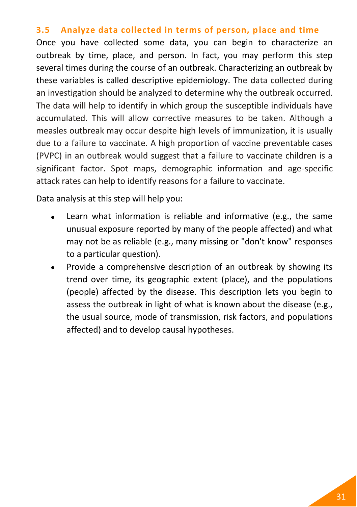#### **3.5 Analyze data collected in terms of person, place and time**

Once you have collected some data, you can begin to characterize an outbreak by time, place, and person. In fact, you may perform this step several times during the course of an outbreak. Characterizing an outbreak by these variables is called descriptive epidemiology. The data collected during an investigation should be analyzed to determine why the outbreak occurred. The data will help to identify in which group the susceptible individuals have accumulated. This will allow corrective measures to be taken. Although a measles outbreak may occur despite high levels of immunization, it is usually due to a failure to vaccinate. A high proportion of vaccine preventable cases (PVPC) in an outbreak would suggest that a failure to vaccinate children is a significant factor. Spot maps, demographic information and age-specific attack rates can help to identify reasons for a failure to vaccinate.

Data analysis at this step will help you:

- Learn what information is reliable and informative (e.g., the same unusual exposure reported by many of the people affected) and what may not be as reliable (e.g., many missing or "don't know" responses to a particular question).
- Provide a comprehensive description of an outbreak by showing its trend over time, its geographic extent (place), and the populations (people) affected by the disease. This description lets you begin to assess the outbreak in light of what is known about the disease (e.g., the usual source, mode of transmission, risk factors, and populations affected) and to develop causal hypotheses.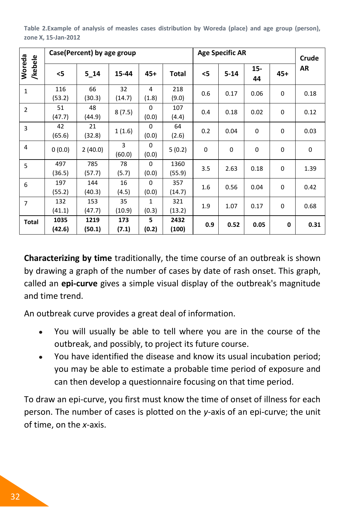**Table 2.Example of analysis of measles cases distribution by Woreda (place) and age group (person), zone X, 15-Jan-2012**

|                   |                | Case(Percent) by age group |              |                   |                | <b>Age Specific AR</b> |          | Crude       |             |             |
|-------------------|----------------|----------------------------|--------------|-------------------|----------------|------------------------|----------|-------------|-------------|-------------|
| Woreda<br>/kebele | <5             | 5 14                       | 15-44        | 45+               | Total          | <5                     | $5 - 14$ | 15-<br>44   | 45+         | AR          |
| $\mathbf{1}$      | 116<br>(53.2)  | 66<br>(30.3)               | 32<br>(14.7) | 4<br>(1.8)        | 218<br>(9.0)   | 0.6                    | 0.17     | 0.06        | 0           | 0.18        |
| $\overline{2}$    | 51<br>(47.7)   | 48<br>(44.9)               | 8(7.5)       | $\Omega$<br>(0.0) | 107<br>(4.4)   | 0.4                    | 0.18     | 0.02        | 0           | 0.12        |
| 3                 | 42<br>(65.6)   | 21<br>(32.8)               | 1(1.6)       | 0<br>(0.0)        | 64<br>(2.6)    | 0.2                    | 0.04     | 0           | 0           | 0.03        |
| 4                 | 0(0.0)         | 2(40.0)                    | 3<br>(60.0)  | $\Omega$<br>(0.0) | 5(0.2)         | $\mathbf 0$            | $\Omega$ | $\mathbf 0$ | $\mathbf 0$ | $\mathbf 0$ |
| 5                 | 497<br>(36.5)  | 785<br>(57.7)              | 78<br>(5.7)  | $\Omega$<br>(0.0) | 1360<br>(55.9) | 3.5                    | 2.63     | 0.18        | 0           | 1.39        |
| 6                 | 197<br>(55.2)  | 144<br>(40.3)              | 16<br>(4.5)  | 0<br>(0.0)        | 357<br>(14.7)  | 1.6                    | 0.56     | 0.04        | 0           | 0.42        |
| $\overline{7}$    | 132<br>(41.1)  | 153<br>(47.7)              | 35<br>(10.9) | 1<br>(0.3)        | 321<br>(13.2)  | 1.9                    | 1.07     | 0.17        | $\mathbf 0$ | 0.68        |
| Total             | 1035<br>(42.6) | 1219<br>(50.1)             | 173<br>(7.1) | 5<br>(0.2)        | 2432<br>(100)  | 0.9                    | 0.52     | 0.05        | 0           | 0.31        |

**Characterizing by time** traditionally, the time course of an outbreak is shown by drawing a graph of the number of cases by date of rash onset. This graph, called an **epi-curve** gives a simple visual display of the outbreak's magnitude and time trend.

An outbreak curve provides a great deal of information.

- You will usually be able to tell where you are in the course of the  $\bullet$ outbreak, and possibly, to project its future course.
- You have identified the disease and know its usual incubation period;  $\bullet$ you may be able to estimate a probable time period of exposure and can then develop a questionnaire focusing on that time period.

To draw an epi-curve, you first must know the time of onset of illness for each person. The number of cases is plotted on the *y*-axis of an epi-curve; the unit of time, on the *x*-axis.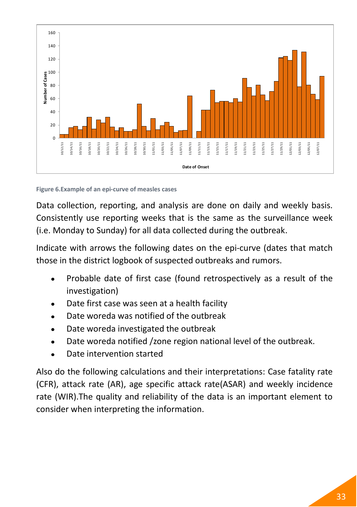

**Figure 6.Example of an epi-curve of measles cases**

Data collection, reporting, and analysis are done on daily and weekly basis. Consistently use reporting weeks that is the same as the surveillance week (i.e. Monday to Sunday) for all data collected during the outbreak.

Indicate with arrows the following dates on the epi-curve (dates that match those in the district logbook of suspected outbreaks and rumors.

- Probable date of first case (found retrospectively as a result of the investigation)
- Date first case was seen at a health facility
- Date woreda was notified of the outbreak
- Date woreda investigated the outbreak
- Date woreda notified /zone region national level of the outbreak.
- Date intervention started

Also do the following calculations and their interpretations: Case fatality rate (CFR), attack rate (AR), age specific attack rate(ASAR) and weekly incidence rate (WIR).The quality and reliability of the data is an important element to consider when interpreting the information.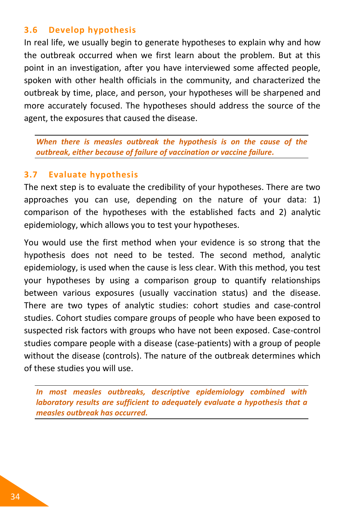#### **3.6 Develop hypothesis**

In real life, we usually begin to generate hypotheses to explain why and how the outbreak occurred when we first learn about the problem. But at this point in an investigation, after you have interviewed some affected people, spoken with other health officials in the community, and characterized the outbreak by time, place, and person, your hypotheses will be sharpened and more accurately focused. The hypotheses should address the source of the agent, the exposures that caused the disease.

*When there is measles outbreak the hypothesis is on the cause of the outbreak, either because of failure of vaccination or vaccine failure.*

#### **3.7 Evaluate hypothesis**

The next step is to evaluate the credibility of your hypotheses. There are two approaches you can use, depending on the nature of your data: 1) comparison of the hypotheses with the established facts and 2) analytic epidemiology, which allows you to test your hypotheses.

You would use the first method when your evidence is so strong that the hypothesis does not need to be tested. The second method, analytic epidemiology, is used when the cause is less clear. With this method, you test your hypotheses by using a comparison group to quantify relationships between various exposures (usually vaccination status) and the disease. There are two types of analytic studies: cohort studies and case-control studies. Cohort studies compare groups of people who have been exposed to suspected risk factors with groups who have not been exposed. Case-control studies compare people with a disease (case-patients) with a group of people without the disease (controls). The nature of the outbreak determines which of these studies you will use.

*In most measles outbreaks, descriptive epidemiology combined with laboratory results are sufficient to adequately evaluate a hypothesis that a measles outbreak has occurred.*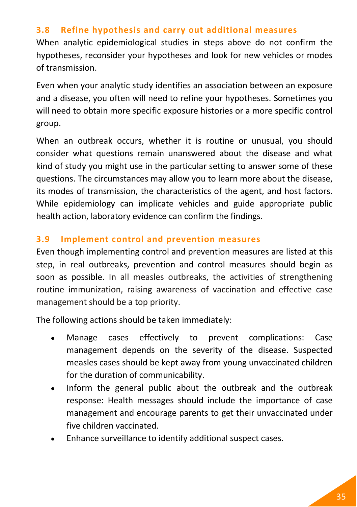#### **3.8 Refine hypothesis and carry out additional measures**

When analytic epidemiological studies in steps above do not confirm the hypotheses, reconsider your hypotheses and look for new vehicles or modes of transmission.

Even when your analytic study identifies an association between an exposure and a disease, you often will need to refine your hypotheses. Sometimes you will need to obtain more specific exposure histories or a more specific control group.

When an outbreak occurs, whether it is routine or unusual, you should consider what questions remain unanswered about the disease and what kind of study you might use in the particular setting to answer some of these questions. The circumstances may allow you to learn more about the disease, its modes of transmission, the characteristics of the agent, and host factors. While epidemiology can implicate vehicles and guide appropriate public health action, laboratory evidence can confirm the findings.

#### **3.9 Implement control and prevention measures**

Even though implementing control and prevention measures are listed at this step, in real outbreaks, prevention and control measures should begin as soon as possible. In all measles outbreaks, the activities of strengthening routine immunization, raising awareness of vaccination and effective case management should be a top priority.

The following actions should be taken immediately:

- Manage cases effectively to prevent complications: Case management depends on the severity of the disease. Suspected measles cases should be kept away from young unvaccinated children for the duration of communicability.
- Inform the general public about the outbreak and the outbreak  $\bullet$ response: Health messages should include the importance of case management and encourage parents to get their unvaccinated under five children vaccinated.
- Enhance surveillance to identify additional suspect cases.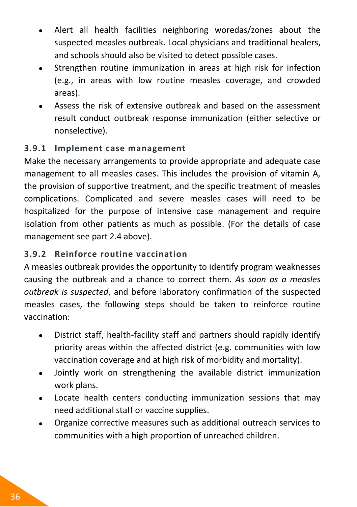- Alert all health facilities neighboring woredas/zones about the suspected measles outbreak. Local physicians and traditional healers, and schools should also be visited to detect possible cases.
- Strengthen routine immunization in areas at high risk for infection (e.g., in areas with low routine measles coverage, and crowded areas).
- Assess the risk of extensive outbreak and based on the assessment result conduct outbreak response immunization (either selective or nonselective).

#### **3.9.1 Implement case management**

Make the necessary arrangements to provide appropriate and adequate case management to all measles cases. This includes the provision of vitamin A, the provision of supportive treatment, and the specific treatment of measles complications. Complicated and severe measles cases will need to be hospitalized for the purpose of intensive case management and require isolation from other patients as much as possible. (For the details of case management see part 2.4 above).

### **3.9.2 Reinforce routine vaccination**

A measles outbreak provides the opportunity to identify program weaknesses causing the outbreak and a chance to correct them. *As soon as a measles outbreak is suspected*, and before laboratory confirmation of the suspected measles cases, the following steps should be taken to reinforce routine vaccination:

- District staff, health-facility staff and partners should rapidly identify  $\bullet$ priority areas within the affected district (e.g. communities with low vaccination coverage and at high risk of morbidity and mortality).
- Jointly work on strengthening the available district immunization  $\bullet$ work plans.
- Locate health centers conducting immunization sessions that may  $\bullet$ need additional staff or vaccine supplies.
- Organize corrective measures such as additional outreach services to  $\bullet$ communities with a high proportion of unreached children.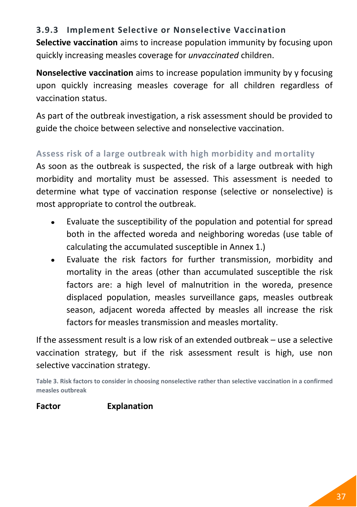# **3.9.3 Implement Selective or Nonselective Vaccination**

**Selective vaccination** aims to increase population immunity by focusing upon quickly increasing measles coverage for *unvaccinated* children.

**Nonselective vaccination** aims to increase population immunity by y focusing upon quickly increasing measles coverage for all children regardless of vaccination status.

As part of the outbreak investigation, a risk assessment should be provided to guide the choice between selective and nonselective vaccination.

# **Assess risk of a large outbreak with high morbidity and mortality**

As soon as the outbreak is suspected, the risk of a large outbreak with high morbidity and mortality must be assessed. This assessment is needed to determine what type of vaccination response (selective or nonselective) is most appropriate to control the outbreak.

- Evaluate the susceptibility of the population and potential for spread  $\bullet$ both in the affected woreda and neighboring woredas (use table of calculating the accumulated susceptible i[n Annex 1.](#page-62-0))
- Evaluate the risk factors for further transmission, morbidity and  $\bullet$ mortality in the areas (other than accumulated susceptible the risk factors are: a high level of malnutrition in the woreda, presence displaced population, measles surveillance gaps, measles outbreak season, adjacent woreda affected by measles all increase the risk factors for measles transmission and measles mortality.

If the assessment result is a low risk of an extended outbreak – use a selective vaccination strategy, but if the risk assessment result is high, use non selective vaccination strategy.

**Table 3. Risk factors to consider in choosing nonselective rather than selective vaccination in a confirmed measles outbreak**

#### **Factor Explanation**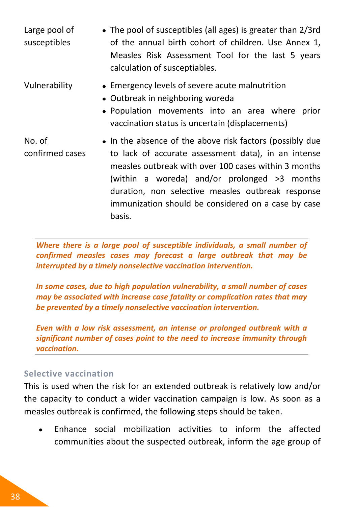Large pool of susceptibles The pool of susceptibles (all ages) is greater than 2/3rd of the annual birth cohort of children. Use Annex 1, Measles Risk Assessment Tool for the last 5 years calculation of susceptiables.

Vulnerability Emergency levels of severe acute malnutrition

- Outbreak in neighboring woreda
- Population movements into an area where prior vaccination status is uncertain (displacements)
- No. of confirmed cases • In the absence of the above risk factors (possibly due to lack of accurate assessment data), in an intense measles outbreak with over 100 cases within 3 months (within a woreda) and/or prolonged >3 months duration, non selective measles outbreak response immunization should be considered on a case by case basis.

*Where there is a large pool of susceptible individuals, a small number of confirmed measles cases may forecast a large outbreak that may be interrupted by a timely nonselective vaccination intervention.* 

*In some cases, due to high population vulnerability, a small number of cases may be associated with increase case fatality or complication rates that may be prevented by a timely nonselective vaccination intervention.*

*Even with a low risk assessment, an intense or prolonged outbreak with a significant number of cases point to the need to increase immunity through vaccination.* 

#### **Selective vaccination**

This is used when the risk for an extended outbreak is relatively low and/or the capacity to conduct a wider vaccination campaign is low. As soon as a measles outbreak is confirmed, the following steps should be taken.

Enhance social mobilization activities to inform the affected  $\bullet$ communities about the suspected outbreak, inform the age group of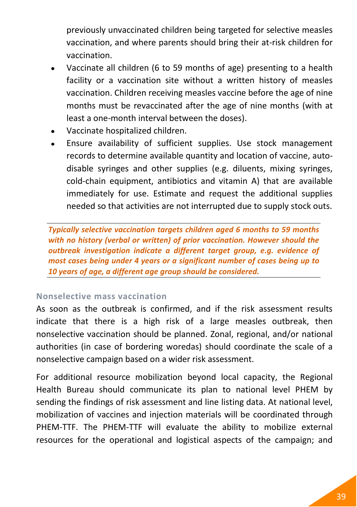previously unvaccinated children being targeted for selective measles vaccination, and where parents should bring their at-risk children for vaccination.

- Vaccinate all children (6 to 59 months of age) presenting to a health facility or a vaccination site without a written history of measles vaccination. Children receiving measles vaccine before the age of nine months must be revaccinated after the age of nine months (with at least a one-month interval between the doses).
- Vaccinate hospitalized children.
- Ensure availability of sufficient supplies. Use stock management records to determine available quantity and location of vaccine, autodisable syringes and other supplies (e.g. diluents, mixing syringes, cold-chain equipment, antibiotics and vitamin A) that are available immediately for use. Estimate and request the additional supplies needed so that activities are not interrupted due to supply stock outs.

*Typically selective vaccination targets children aged 6 months to 59 months with no history (verbal or written) of prior vaccination. However should the outbreak investigation indicate a different target group, e.g. evidence of most cases being under 4 years or a significant number of cases being up to 10 years of age, a different age group should be considered.*

#### **Nonselective mass vaccination**

As soon as the outbreak is confirmed, and if the risk assessment results indicate that there is a high risk of a large measles outbreak, then nonselective vaccination should be planned. Zonal, regional, and/or national authorities (in case of bordering woredas) should coordinate the scale of a nonselective campaign based on a wider risk assessment.

For additional resource mobilization beyond local capacity, the Regional Health Bureau should communicate its plan to national level PHEM by sending the findings of risk assessment and line listing data. At national level, mobilization of vaccines and injection materials will be coordinated through PHEM-TTF. The PHEM-TTF will evaluate the ability to mobilize external resources for the operational and logistical aspects of the campaign; and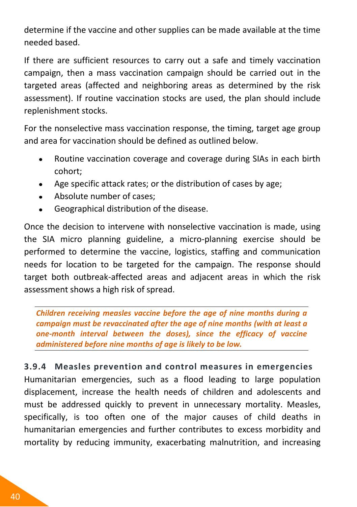determine if the vaccine and other supplies can be made available at the time needed based.

If there are sufficient resources to carry out a safe and timely vaccination campaign, then a mass vaccination campaign should be carried out in the targeted areas (affected and neighboring areas as determined by the risk assessment). If routine vaccination stocks are used, the plan should include replenishment stocks.

For the nonselective mass vaccination response, the timing, target age group and area for vaccination should be defined as outlined below.

- Routine vaccination coverage and coverage during SIAs in each birth cohort;
- Age specific attack rates; or the distribution of cases by age;
- Absolute number of cases;
- Geographical distribution of the disease.

Once the decision to intervene with nonselective vaccination is made, using the SIA micro planning guideline, a micro-planning exercise should be performed to determine the vaccine, logistics, staffing and communication needs for location to be targeted for the campaign. The response should target both outbreak-affected areas and adjacent areas in which the risk assessment shows a high risk of spread.

*Children receiving measles vaccine before the age of nine months during a campaign must be revaccinated after the age of nine months (with at least a one-month interval between the doses), since the efficacy of vaccine administered before nine months of age is likely to be low.*

**3.9.4 Measles prevention and control measures in emergencies** Humanitarian emergencies, such as a flood leading to large population displacement, increase the health needs of children and adolescents and must be addressed quickly to prevent in unnecessary mortality. Measles, specifically, is too often one of the major causes of child deaths in humanitarian emergencies and further contributes to excess morbidity and mortality by reducing immunity, exacerbating malnutrition, and increasing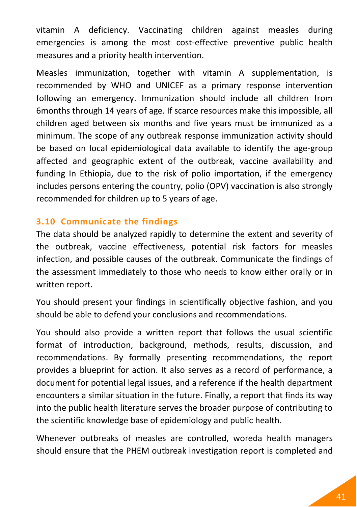vitamin A deficiency. Vaccinating children against measles during emergencies is among the most cost-effective preventive public health measures and a priority health intervention.

Measles immunization, together with vitamin A supplementation, is recommended by WHO and UNICEF as a primary response intervention following an emergency. Immunization should include all children from 6months through 14 years of age. If scarce resources make this impossible, all children aged between six months and five years must be immunized as a minimum. The scope of any outbreak response immunization activity should be based on local epidemiological data available to identify the age-group affected and geographic extent of the outbreak, vaccine availability and funding In Ethiopia, due to the risk of polio importation, if the emergency includes persons entering the country, polio (OPV) vaccination is also strongly recommended for children up to 5 years of age.

#### **3.10 Communicate the findings**

The data should be analyzed rapidly to determine the extent and severity of the outbreak, vaccine effectiveness, potential risk factors for measles infection, and possible causes of the outbreak. Communicate the findings of the assessment immediately to those who needs to know either orally or in written report.

You should present your findings in scientifically objective fashion, and you should be able to defend your conclusions and recommendations.

You should also provide a written report that follows the usual scientific format of introduction, background, methods, results, discussion, and recommendations. By formally presenting recommendations, the report provides a blueprint for action. It also serves as a record of performance, a document for potential legal issues, and a reference if the health department encounters a similar situation in the future. Finally, a report that finds its way into the public health literature serves the broader purpose of contributing to the scientific knowledge base of epidemiology and public health.

Whenever outbreaks of measles are controlled, woreda health managers should ensure that the PHEM outbreak investigation report is completed and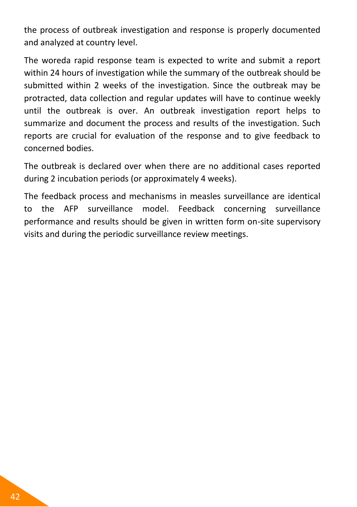the process of outbreak investigation and response is properly documented and analyzed at country level.

The woreda rapid response team is expected to write and submit a report within 24 hours of investigation while the summary of the outbreak should be submitted within 2 weeks of the investigation. Since the outbreak may be protracted, data collection and regular updates will have to continue weekly until the outbreak is over. An outbreak investigation report helps to summarize and document the process and results of the investigation. Such reports are crucial for evaluation of the response and to give feedback to concerned bodies.

The outbreak is declared over when there are no additional cases reported during 2 incubation periods (or approximately 4 weeks).

The feedback process and mechanisms in measles surveillance are identical to the AFP surveillance model. Feedback concerning surveillance performance and results should be given in written form on-site supervisory visits and during the periodic surveillance review meetings.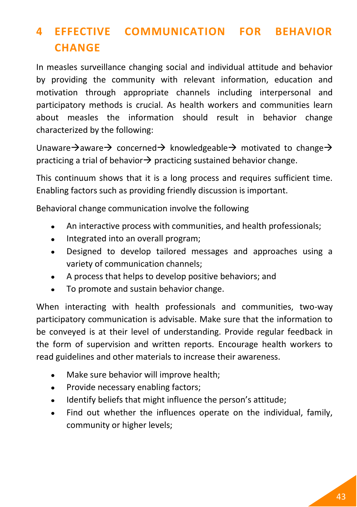# **4 EFFECTIVE COMMUNICATION FOR BEHAVIOR CHANGE**

In measles surveillance changing social and individual attitude and behavior by providing the community with relevant information, education and motivation through appropriate channels including interpersonal and participatory methods is crucial. As health workers and communities learn about measles the information should result in behavior change characterized by the following:

Unaware $\rightarrow$  aware  $\rightarrow$  concerned  $\rightarrow$  knowledgeable  $\rightarrow$  motivated to change  $\rightarrow$ practicing a trial of behavior  $\rightarrow$  practicing sustained behavior change.

This continuum shows that it is a long process and requires sufficient time. Enabling factors such as providing friendly discussion is important.

Behavioral change communication involve the following

- An interactive process with communities, and health professionals;  $\bullet$
- Integrated into an overall program;  $\bullet$
- Designed to develop tailored messages and approaches using a  $\bullet$ variety of communication channels;
- A process that helps to develop positive behaviors; and
- To promote and sustain behavior change.

When interacting with health professionals and communities, two-way participatory communication is advisable. Make sure that the information to be conveyed is at their level of understanding. Provide regular feedback in the form of supervision and written reports. Encourage health workers to read guidelines and other materials to increase their awareness.

- Make sure behavior will improve health;
- Provide necessary enabling factors;  $\bullet$
- Identify beliefs that might influence the person's attitude;
- Find out whether the influences operate on the individual, family,  $\bullet$ community or higher levels;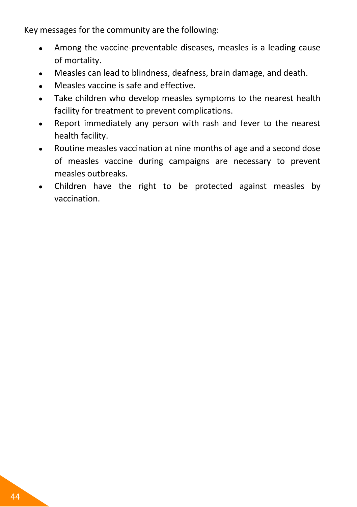Key messages for the community are the following:

- Among the vaccine-preventable diseases, measles is a leading cause  $\bullet$ of mortality.
- Measles can lead to blindness, deafness, brain damage, and death.  $\bullet$
- Measles vaccine is safe and effective.
- Take children who develop measles symptoms to the nearest health  $\bullet$ facility for treatment to prevent complications.
- Report immediately any person with rash and fever to the nearest  $\bullet$ health facility.
- Routine measles vaccination at nine months of age and a second dose  $\bullet$ of measles vaccine during campaigns are necessary to prevent measles outbreaks.
- Children have the right to be protected against measles by  $\bullet$ vaccination.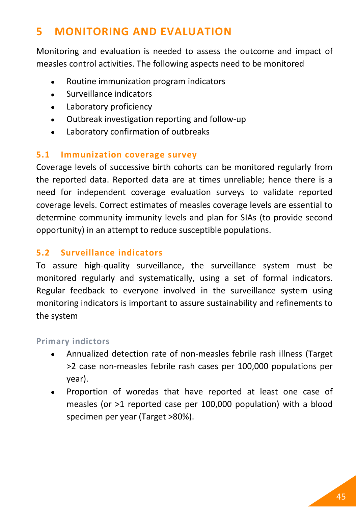# **5 MONITORING AND EVALUATION**

Monitoring and evaluation is needed to assess the outcome and impact of measles control activities. The following aspects need to be monitored

- Routine immunization program indicators
- Surveillance indicators  $\bullet$
- Laboratory proficiency  $\bullet$
- Outbreak investigation reporting and follow-up  $\bullet$
- Laboratory confirmation of outbreaks  $\bullet$

#### **5.1 Immunization coverage survey**

Coverage levels of successive birth cohorts can be monitored regularly from the reported data. Reported data are at times unreliable; hence there is a need for independent coverage evaluation surveys to validate reported coverage levels. Correct estimates of measles coverage levels are essential to determine community immunity levels and plan for SIAs (to provide second opportunity) in an attempt to reduce susceptible populations.

#### **5.2 Surveillance indicators**

To assure high-quality surveillance, the surveillance system must be monitored regularly and systematically, using a set of formal indicators. Regular feedback to everyone involved in the surveillance system using monitoring indicators is important to assure sustainability and refinements to the system

#### **Primary indictors**

- Annualized detection rate of non-measles febrile rash illness (Target  $\bullet$ >2 case non-measles febrile rash cases per 100,000 populations per year).
- Proportion of woredas that have reported at least one case of measles (or >1 reported case per 100,000 population) with a blood specimen per year (Target >80%).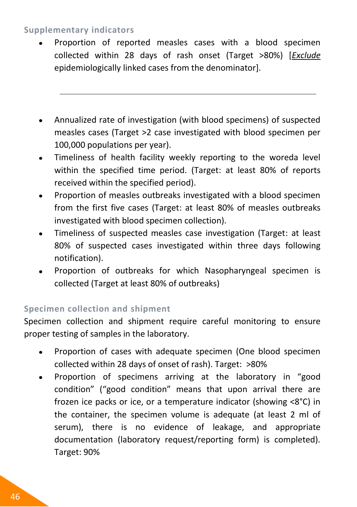#### **Supplementary indicators**

- Proportion of reported measles cases with a blood specimen  $\bullet$ collected within 28 days of rash onset (Target >80%) [*Exclude* epidemiologically linked cases from the denominator].
- Annualized rate of investigation (with blood specimens) of suspected measles cases (Target >2 case investigated with blood specimen per 100,000 populations per year).
- Timeliness of health facility weekly reporting to the woreda level  $\bullet$ within the specified time period. (Target: at least 80% of reports received within the specified period).
- Proportion of measles outbreaks investigated with a blood specimen from the first five cases (Target: at least 80% of measles outbreaks investigated with blood specimen collection).
- Timeliness of suspected measles case investigation (Target: at least  $\bullet$ 80% of suspected cases investigated within three days following notification).
- Proportion of outbreaks for which Nasopharyngeal specimen is collected (Target at least 80% of outbreaks)

# **Specimen collection and shipment**

Specimen collection and shipment require careful monitoring to ensure proper testing of samples in the laboratory.

- $\bullet$ Proportion of cases with adequate specimen (One blood specimen collected within 28 days of onset of rash). Target: >80%
- Proportion of specimens arriving at the laboratory in "good  $\bullet$ condition" ("good condition" means that upon arrival there are frozen ice packs or ice, or a temperature indicator (showing <8°C) in the container, the specimen volume is adequate (at least 2 ml of serum), there is no evidence of leakage, and appropriate documentation (laboratory request/reporting form) is completed). Target: 90%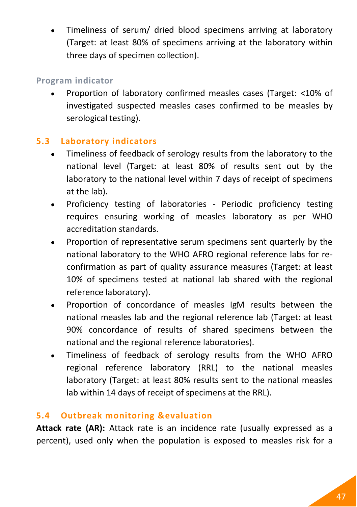Timeliness of serum/ dried blood specimens arriving at laboratory (Target: at least 80% of specimens arriving at the laboratory within three days of specimen collection).

#### **Program indicator**

Proportion of laboratory confirmed measles cases (Target: <10% of investigated suspected measles cases confirmed to be measles by serological testing).

### **5.3 Laboratory indicators**

- Timeliness of feedback of serology results from the laboratory to the national level (Target: at least 80% of results sent out by the laboratory to the national level within 7 days of receipt of specimens at the lab).
- Proficiency testing of laboratories Periodic proficiency testing requires ensuring working of measles laboratory as per WHO accreditation standards.
- Proportion of representative serum specimens sent quarterly by the national laboratory to the WHO AFRO regional reference labs for reconfirmation as part of quality assurance measures (Target: at least 10% of specimens tested at national lab shared with the regional reference laboratory).
- Proportion of concordance of measles IgM results between the national measles lab and the regional reference lab (Target: at least 90% concordance of results of shared specimens between the national and the regional reference laboratories).
- Timeliness of feedback of serology results from the WHO AFRO regional reference laboratory (RRL) to the national measles laboratory (Target: at least 80% results sent to the national measles lab within 14 days of receipt of specimens at the RRL).

# **5.4 Outbreak monitoring &evaluation**

**Attack rate (AR):** Attack rate is an incidence rate (usually expressed as a percent), used only when the population is exposed to measles risk for a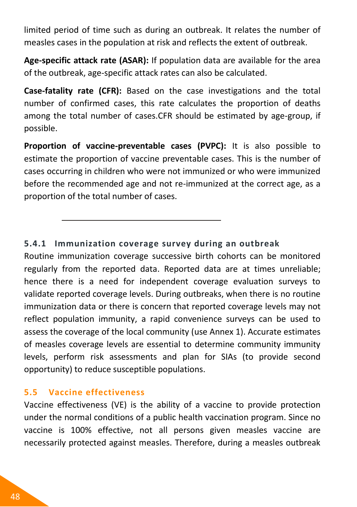limited period of time such as during an outbreak. It relates the number of measles cases in the population at risk and reflects the extent of outbreak.

**Age-specific attack rate (ASAR):** If population data are available for the area of the outbreak, age-specific attack rates can also be calculated.

**Case-fatality rate (CFR):** Based on the case investigations and the total number of confirmed cases, this rate calculates the proportion of deaths among the total number of cases.CFR should be estimated by age-group, if possible.

**Proportion of vaccine-preventable cases (PVPC):** It is also possible to estimate the proportion of vaccine preventable cases. This is the number of cases occurring in children who were not immunized or who were immunized before the recommended age and not re-immunized at the correct age, as a proportion of the total number of cases.

#### **5.4.1 Immunization coverage survey during an outbreak**

Routine immunization coverage successive birth cohorts can be monitored regularly from the reported data. Reported data are at times unreliable; hence there is a need for independent coverage evaluation surveys to validate reported coverage levels. During outbreaks, when there is no routine immunization data or there is concern that reported coverage levels may not reflect population immunity, a rapid convenience surveys can be used to assess the coverage of the local community (use Annex 1). Accurate estimates of measles coverage levels are essential to determine community immunity levels, perform risk assessments and plan for SIAs (to provide second opportunity) to reduce susceptible populations.

#### **5.5 Vaccine effectiveness**

Vaccine effectiveness (VE) is the ability of a vaccine to provide protection under the normal conditions of a public health vaccination program. Since no vaccine is 100% effective, not all persons given measles vaccine are necessarily protected against measles. Therefore, during a measles outbreak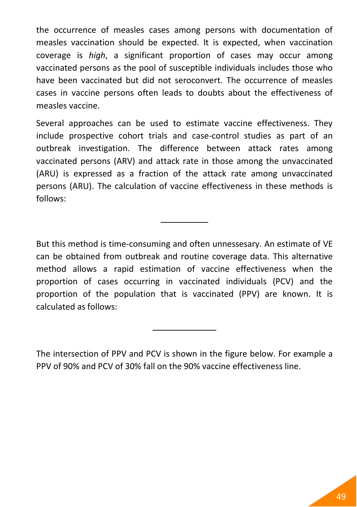the occurrence of measles cases among persons with documentation of measles vaccination should be expected. It is expected, when vaccination coverage is *high*, a significant proportion of cases may occur among vaccinated persons as the pool of susceptible individuals includes those who have been vaccinated but did not seroconvert. The occurrence of measles cases in vaccine persons often leads to doubts about the effectiveness of measles vaccine.

Several approaches can be used to estimate vaccine effectiveness. They include prospective cohort trials and case-control studies as part of an outbreak investigation. The difference between attack rates among vaccinated persons (ARV) and attack rate in those among the unvaccinated (ARU) is expressed as a fraction of the attack rate among unvaccinated persons (ARU). The calculation of vaccine effectiveness in these methods is follows:

But this method is time-consuming and often unnessesary. An estimate of VE can be obtained from outbreak and routine coverage data. This alternative method allows a rapid estimation of vaccine effectiveness when the proportion of cases occurring in vaccinated individuals (PCV) and the proportion of the population that is vaccinated (PPV) are known. It is calculated as follows:

The intersection of PPV and PCV is shown in the figure below. For example a PPV of 90% and PCV of 30% fall on the 90% vaccine effectiveness line.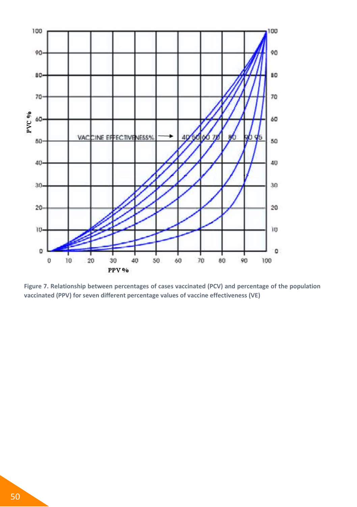

**Figure 7. Relationship between percentages of cases vaccinated (PCV) and percentage of the population vaccinated (PPV) for seven different percentage values of vaccine effectiveness (VE)**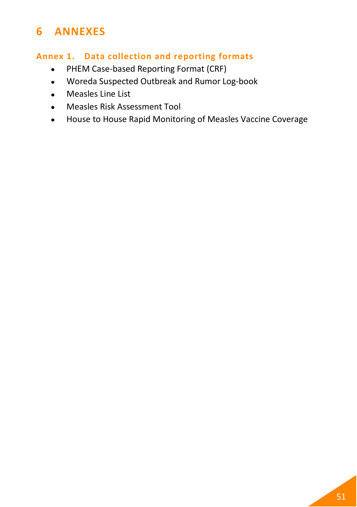# **6 ANNEXES**

#### <span id="page-62-0"></span>**Annex 1. Data collection and reporting formats**

- PHEM Case-based Reporting Format (CRF)  $\bullet$
- Woreda Suspected Outbreak and Rumor Log-book  $\bullet$
- Measles Line List  $\bullet$
- Measles Risk Assessment Tool  $\bullet$  .  $\bullet$
- House to House Rapid Monitoring of Measles Vaccine Coverage $\bullet$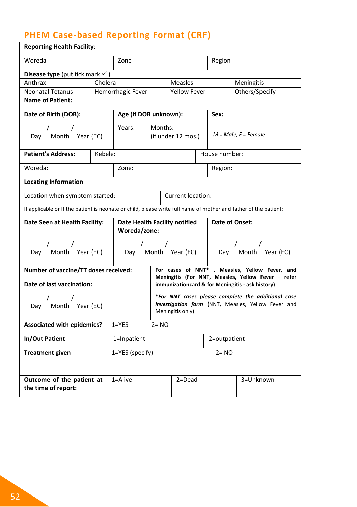# **PHEM Case-based Reporting Format (CRF)**

| <b>Reporting Health Facility:</b>                                                                                                                                                                                                                                                                                                                                                                                     |                 |                                               |                                                |                     |          |               |                                                                                                                                                                                                                                                                                                                                                                                                                                 |  |  |  |
|-----------------------------------------------------------------------------------------------------------------------------------------------------------------------------------------------------------------------------------------------------------------------------------------------------------------------------------------------------------------------------------------------------------------------|-----------------|-----------------------------------------------|------------------------------------------------|---------------------|----------|---------------|---------------------------------------------------------------------------------------------------------------------------------------------------------------------------------------------------------------------------------------------------------------------------------------------------------------------------------------------------------------------------------------------------------------------------------|--|--|--|
| Woreda                                                                                                                                                                                                                                                                                                                                                                                                                |                 | Zone                                          |                                                |                     |          | Region        |                                                                                                                                                                                                                                                                                                                                                                                                                                 |  |  |  |
| Disease type (put tick mark $\checkmark$ )                                                                                                                                                                                                                                                                                                                                                                            |                 |                                               |                                                |                     |          |               |                                                                                                                                                                                                                                                                                                                                                                                                                                 |  |  |  |
| Anthrax                                                                                                                                                                                                                                                                                                                                                                                                               | Cholera         |                                               |                                                | Measles             |          |               | Meningitis                                                                                                                                                                                                                                                                                                                                                                                                                      |  |  |  |
| <b>Neonatal Tetanus</b>                                                                                                                                                                                                                                                                                                                                                                                               |                 | Hemorrhagic Fever                             |                                                | <b>Yellow Fever</b> |          |               | Others/Specify                                                                                                                                                                                                                                                                                                                                                                                                                  |  |  |  |
| <b>Name of Patient:</b>                                                                                                                                                                                                                                                                                                                                                                                               |                 |                                               |                                                |                     |          |               |                                                                                                                                                                                                                                                                                                                                                                                                                                 |  |  |  |
| Date of Birth (DOB):                                                                                                                                                                                                                                                                                                                                                                                                  |                 | Age (If DOB unknown):                         |                                                |                     |          | Sex:          |                                                                                                                                                                                                                                                                                                                                                                                                                                 |  |  |  |
|                                                                                                                                                                                                                                                                                                                                                                                                                       |                 | Years: Months:                                |                                                |                     |          |               |                                                                                                                                                                                                                                                                                                                                                                                                                                 |  |  |  |
| $\frac{1}{\text{Day}}$ Month Year (EC)                                                                                                                                                                                                                                                                                                                                                                                |                 |                                               |                                                | (if under 12 mos.)  |          |               | $M = Male, F = Female$                                                                                                                                                                                                                                                                                                                                                                                                          |  |  |  |
| <b>Patient's Address:</b>                                                                                                                                                                                                                                                                                                                                                                                             | Kebele:         |                                               |                                                |                     |          | House number: |                                                                                                                                                                                                                                                                                                                                                                                                                                 |  |  |  |
| Woreda:                                                                                                                                                                                                                                                                                                                                                                                                               |                 | Zone:                                         |                                                |                     |          | Region:       |                                                                                                                                                                                                                                                                                                                                                                                                                                 |  |  |  |
| <b>Locating Information</b>                                                                                                                                                                                                                                                                                                                                                                                           |                 |                                               |                                                |                     |          |               |                                                                                                                                                                                                                                                                                                                                                                                                                                 |  |  |  |
| Location when symptom started:                                                                                                                                                                                                                                                                                                                                                                                        |                 |                                               |                                                | Current location:   |          |               |                                                                                                                                                                                                                                                                                                                                                                                                                                 |  |  |  |
| If applicable or If the patient is neonate or child, please write full name of mother and father of the patient:                                                                                                                                                                                                                                                                                                      |                 |                                               |                                                |                     |          |               |                                                                                                                                                                                                                                                                                                                                                                                                                                 |  |  |  |
| Date Seen at Health Facility:                                                                                                                                                                                                                                                                                                                                                                                         |                 | Date Health Facility notified<br>Woreda/zone: |                                                |                     |          |               | Date of Onset:                                                                                                                                                                                                                                                                                                                                                                                                                  |  |  |  |
| $\frac{1}{\sqrt{2}}$<br>Day Month Year (EC)                                                                                                                                                                                                                                                                                                                                                                           |                 |                                               | $\frac{1}{\sqrt{2\pi}}$<br>Day Month Year (EC) |                     |          |               | $\frac{1}{\sqrt{1-\frac{1}{2}}}\frac{1}{\sqrt{1-\frac{1}{2}}}\frac{1}{\sqrt{1-\frac{1}{2}}}\frac{1}{\sqrt{1-\frac{1}{2}}}\frac{1}{\sqrt{1-\frac{1}{2}}}\frac{1}{\sqrt{1-\frac{1}{2}}}\frac{1}{\sqrt{1-\frac{1}{2}}}\frac{1}{\sqrt{1-\frac{1}{2}}}\frac{1}{\sqrt{1-\frac{1}{2}}}\frac{1}{\sqrt{1-\frac{1}{2}}}\frac{1}{\sqrt{1-\frac{1}{2}}}\frac{1}{\sqrt{1-\frac{1}{2}}}\frac{1}{\sqrt{1-\frac{1}{2}}}\frac{1}{\sqrt{1-\frac{$ |  |  |  |
| Number of vaccine/TT doses received:                                                                                                                                                                                                                                                                                                                                                                                  |                 |                                               |                                                |                     |          |               | For cases of NNT*, Measles, Yellow Fever, and<br>Meningitis (For NNT, Measles, Yellow Fever - refer                                                                                                                                                                                                                                                                                                                             |  |  |  |
| Date of last vaccination:                                                                                                                                                                                                                                                                                                                                                                                             |                 |                                               |                                                |                     |          |               | immunizationcard & for Meningitis - ask history)                                                                                                                                                                                                                                                                                                                                                                                |  |  |  |
| $\frac{1}{\sqrt{1-\frac{1}{1-\frac{1}{1-\frac{1}{1-\frac{1}{1-\frac{1}{1-\frac{1}{1-\frac{1}{1-\frac{1}{1-\frac{1}{1-\frac{1}{1-\frac{1}{1-\frac{1}{1-\frac{1}{1-\frac{1}{1-\frac{1}{1-\frac{1}{1-\frac{1}{1-\frac{1}{1-\frac{1}{1-\frac{1}{1-\frac{1}{1-\frac{1}{1-\frac{1}{1-\frac{1}{1-\frac{1}{1-\frac{1}{1-\frac{1}{1-\frac{1}{1-\frac{1}{1-\frac{1}{1-\frac{1}{1-\frac{1}{1-\frac{1}{1-\frac{1}{1-\frac{1}{1-\$ |                 |                                               |                                                | Meningitis only)    |          |               | *For NNT cases please complete the additional case<br>investigation form (NNT, Measles, Yellow Fever and                                                                                                                                                                                                                                                                                                                        |  |  |  |
| <b>Associated with epidemics?</b>                                                                                                                                                                                                                                                                                                                                                                                     |                 | $1 = YES$                                     | $2 = NO$                                       |                     |          |               |                                                                                                                                                                                                                                                                                                                                                                                                                                 |  |  |  |
| In/Out Patient                                                                                                                                                                                                                                                                                                                                                                                                        |                 | 1=Inpatient                                   |                                                |                     |          | 2=outpatient  |                                                                                                                                                                                                                                                                                                                                                                                                                                 |  |  |  |
| <b>Treatment given</b>                                                                                                                                                                                                                                                                                                                                                                                                | 1=YES (specify) |                                               |                                                |                     | $2 = NO$ |               |                                                                                                                                                                                                                                                                                                                                                                                                                                 |  |  |  |
|                                                                                                                                                                                                                                                                                                                                                                                                                       |                 |                                               |                                                |                     |          |               |                                                                                                                                                                                                                                                                                                                                                                                                                                 |  |  |  |
| Outcome of the patient at<br>the time of report:                                                                                                                                                                                                                                                                                                                                                                      |                 | $1 =$ Alive                                   |                                                | $2 = Dead$          |          |               | 3=Unknown                                                                                                                                                                                                                                                                                                                                                                                                                       |  |  |  |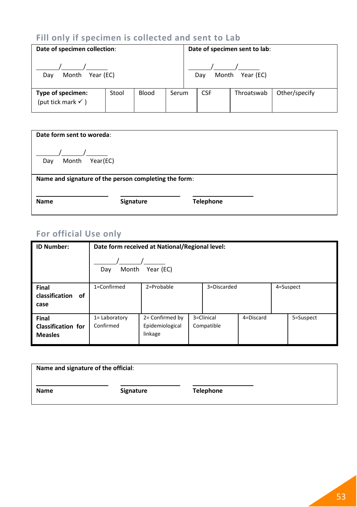# **Fill only if specimen is collected and sent to Lab**

| Date of specimen collection:                                                  |  |  | Date of specimen sent to lab: |  |            |            |               |  |
|-------------------------------------------------------------------------------|--|--|-------------------------------|--|------------|------------|---------------|--|
| Month Year (EC)<br>Dav                                                        |  |  | Month Year (EC)<br>Dav        |  |            |            |               |  |
| Blood<br>Type of specimen:<br>Stool<br>Serum<br>(put tick mark $\checkmark$ ) |  |  |                               |  | <b>CSF</b> | Throatswab | Other/specify |  |

| Date form sent to woreda:                             |           |                  |  |  |  |  |  |  |  |  |  |  |
|-------------------------------------------------------|-----------|------------------|--|--|--|--|--|--|--|--|--|--|
| Year(EC)<br>Month<br>Day                              |           |                  |  |  |  |  |  |  |  |  |  |  |
| Name and signature of the person completing the form: |           |                  |  |  |  |  |  |  |  |  |  |  |
| <b>Name</b>                                           | Signature | <b>Telephone</b> |  |  |  |  |  |  |  |  |  |  |

# **For official Use only**

| <b>ID Number:</b>                                    | Date form received at National/Regional level: |                                               |  |                          |           |  |           |  |  |  |  |  |
|------------------------------------------------------|------------------------------------------------|-----------------------------------------------|--|--------------------------|-----------|--|-----------|--|--|--|--|--|
|                                                      | Year (EC)<br>Month<br>Day                      |                                               |  |                          |           |  |           |  |  |  |  |  |
| Final<br>classification<br>οf<br>case                | 1=Confirmed                                    | 2=Probable                                    |  | 3=Discarded              |           |  | 4=Suspect |  |  |  |  |  |
| Final<br><b>Classification for</b><br><b>Measles</b> | 1= Laboratory<br>Confirmed                     | 2= Confirmed by<br>Epidemiological<br>linkage |  | 3=Clinical<br>Compatible | 4=Discard |  | 5=Suspect |  |  |  |  |  |

| Name and signature of the official: |           |                  |  |  |  |  |  |  |  |  |  |
|-------------------------------------|-----------|------------------|--|--|--|--|--|--|--|--|--|
| Name                                | Signature | <b>Telephone</b> |  |  |  |  |  |  |  |  |  |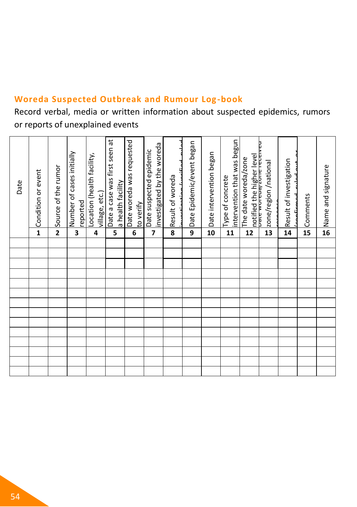# **Woreda Suspected Outbreak and Rumour Log-book**

Record verbal, media or written information about suspected epidemics, rumors or reports of unexplained events

| Date | <b>← Condition or event</b> | Source of the rumor     | Number of cases initially<br>reported | Location (health facility,<br>village, etc.) | Date a case was first seen at<br>a health facility | Date woreda was requested<br>to verify | investigated by the woreda<br>Date suspected epidemic | اصلىت<br>لممتكنعم<br>Result of woreda<br>د:<br>+<br>÷ | Date Epidemic/event began | Date intervention began | intervention that was begun<br>Type of concrete | notified the higher level<br><del>Darc worcog zone receiveu</del><br>The date woreda/zone | zone/region/national | Result of investigation | Comments        | Name and signature |
|------|-----------------------------|-------------------------|---------------------------------------|----------------------------------------------|----------------------------------------------------|----------------------------------------|-------------------------------------------------------|-------------------------------------------------------|---------------------------|-------------------------|-------------------------------------------------|-------------------------------------------------------------------------------------------|----------------------|-------------------------|-----------------|--------------------|
|      |                             | $\overline{\mathbf{2}}$ | 3                                     | 4                                            | 5                                                  | 6                                      | $\overline{7}$                                        | 8                                                     | 9                         | 10                      | 11                                              | 12                                                                                        | 13                   | 14                      | $\overline{15}$ | $\overline{16}$    |
|      |                             |                         |                                       |                                              |                                                    |                                        |                                                       |                                                       |                           |                         |                                                 |                                                                                           |                      |                         |                 |                    |
|      |                             |                         |                                       |                                              |                                                    |                                        |                                                       |                                                       |                           |                         |                                                 |                                                                                           |                      |                         |                 |                    |
|      |                             |                         |                                       |                                              |                                                    |                                        |                                                       |                                                       |                           |                         |                                                 |                                                                                           |                      |                         |                 |                    |
|      |                             |                         |                                       |                                              |                                                    |                                        |                                                       |                                                       |                           |                         |                                                 |                                                                                           |                      |                         |                 |                    |
|      |                             |                         |                                       |                                              |                                                    |                                        |                                                       |                                                       |                           |                         |                                                 |                                                                                           |                      |                         |                 |                    |
|      |                             |                         |                                       |                                              |                                                    |                                        |                                                       |                                                       |                           |                         |                                                 |                                                                                           |                      |                         |                 |                    |
|      |                             |                         |                                       |                                              |                                                    |                                        |                                                       |                                                       |                           |                         |                                                 |                                                                                           |                      |                         |                 |                    |
|      |                             |                         |                                       |                                              |                                                    |                                        |                                                       |                                                       |                           |                         |                                                 |                                                                                           |                      |                         |                 |                    |
|      |                             |                         |                                       |                                              |                                                    |                                        |                                                       |                                                       |                           |                         |                                                 |                                                                                           |                      |                         |                 |                    |
|      |                             |                         |                                       |                                              |                                                    |                                        |                                                       |                                                       |                           |                         |                                                 |                                                                                           |                      |                         |                 |                    |
|      |                             |                         |                                       |                                              |                                                    |                                        |                                                       |                                                       |                           |                         |                                                 |                                                                                           |                      |                         |                 |                    |
|      |                             |                         |                                       |                                              |                                                    |                                        |                                                       |                                                       |                           |                         |                                                 |                                                                                           |                      |                         |                 |                    |
|      |                             |                         |                                       |                                              |                                                    |                                        |                                                       |                                                       |                           |                         |                                                 |                                                                                           |                      |                         |                 |                    |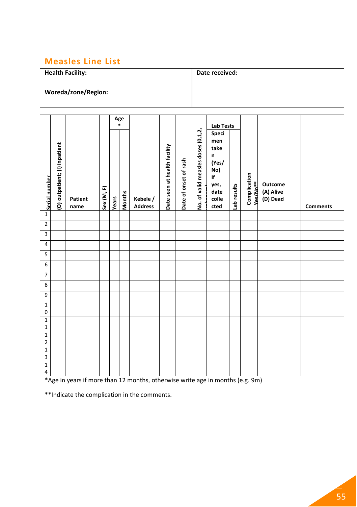#### **Measles Line List**

#### **Health Facility: Woreda/zone/Region: Date received:**

|                            |                               |                 |            |       | $A$ ge |                            |                              |                       |                                    | <b>Lab Tests</b>                                                                 |             |                                      |                                  |                 |
|----------------------------|-------------------------------|-----------------|------------|-------|--------|----------------------------|------------------------------|-----------------------|------------------------------------|----------------------------------------------------------------------------------|-------------|--------------------------------------|----------------------------------|-----------------|
| Serial number              | (O) outpatient; (I) inpatient | Patient<br>name | Sex (M, F) | Years | Months | Kebele /<br><b>Address</b> | Date seen at health facility | Date of onset of rash | No. of valid measles doses (0,1,2, | Speci<br>men<br>take<br>n<br>(Yes/<br>No)<br>If<br>yes,<br>date<br>colle<br>cted | Lab results | Complication<br>Yes/No <sup>**</sup> | Outcome<br>(A) Alive<br>(D) Dead | <b>Comments</b> |
| $1\,$                      |                               |                 |            |       |        |                            |                              |                       |                                    |                                                                                  |             |                                      |                                  |                 |
| $\mathbf 2$                |                               |                 |            |       |        |                            |                              |                       |                                    |                                                                                  |             |                                      |                                  |                 |
| 3                          |                               |                 |            |       |        |                            |                              |                       |                                    |                                                                                  |             |                                      |                                  |                 |
| 4                          |                               |                 |            |       |        |                            |                              |                       |                                    |                                                                                  |             |                                      |                                  |                 |
| 5                          |                               |                 |            |       |        |                            |                              |                       |                                    |                                                                                  |             |                                      |                                  |                 |
| 6                          |                               |                 |            |       |        |                            |                              |                       |                                    |                                                                                  |             |                                      |                                  |                 |
| $\overline{7}$             |                               |                 |            |       |        |                            |                              |                       |                                    |                                                                                  |             |                                      |                                  |                 |
| 8                          |                               |                 |            |       |        |                            |                              |                       |                                    |                                                                                  |             |                                      |                                  |                 |
| 9                          |                               |                 |            |       |        |                            |                              |                       |                                    |                                                                                  |             |                                      |                                  |                 |
| $1\,$<br>$\pmb{0}$         |                               |                 |            |       |        |                            |                              |                       |                                    |                                                                                  |             |                                      |                                  |                 |
| $\mathbf 1$<br>$\mathbf 1$ |                               |                 |            |       |        |                            |                              |                       |                                    |                                                                                  |             |                                      |                                  |                 |
| $\mathbf 1$<br>$\mathbf 2$ |                               |                 |            |       |        |                            |                              |                       |                                    |                                                                                  |             |                                      |                                  |                 |
| $\mathbf 1$                |                               |                 |            |       |        |                            |                              |                       |                                    |                                                                                  |             |                                      |                                  |                 |
| 3                          |                               |                 |            |       |        |                            |                              |                       |                                    |                                                                                  |             |                                      |                                  |                 |
| $\mathbf 1$<br>$\pmb{4}$   |                               |                 |            |       |        |                            |                              |                       |                                    |                                                                                  |             |                                      |                                  |                 |

\*Age in years if more than 12 months, otherwise write age in months (e.g. 9m)

\*\*Indicate the complication in the comments.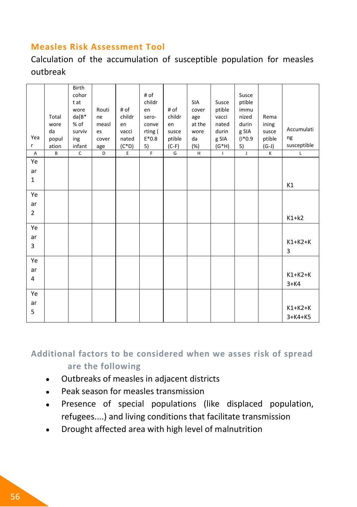#### **Measles Risk Assessment Tool**

Calculation of the accumulation of susceptible population for measles outbreak

| Yea<br>r       | Total<br>wore<br>da<br>popul<br>ation | Birth<br>cohor<br>t at<br>wore<br>$da(B^*)$<br>% of<br>surviv<br>ing<br>infant | Routi<br>ne<br>measl<br>es<br>cover<br>age | # of<br>childr<br>en<br>vacci<br>nated<br>$(C*D)$ | # of<br>childr<br>en<br>sero-<br>conve<br>rting (<br>$E*0.8$<br>5) | # of<br>childr<br>en<br>susce<br>ptible<br>$(C-F)$ | SIA<br>cover<br>age<br>at the<br>wore<br>da<br>(%) | Susce<br>ptible<br>vacci<br>nated<br>durin<br>g SIA<br>$(G^*H)$ | Susce<br>ptible<br>immu<br>nized<br>durin<br>g SIA<br>$(1*0.9)$<br>5) | Rema<br>ining<br>susce<br>ptible<br>$(G-J)$ | Accumulati<br>ng<br>susceptible |
|----------------|---------------------------------------|--------------------------------------------------------------------------------|--------------------------------------------|---------------------------------------------------|--------------------------------------------------------------------|----------------------------------------------------|----------------------------------------------------|-----------------------------------------------------------------|-----------------------------------------------------------------------|---------------------------------------------|---------------------------------|
| A              | B                                     | $\overline{c}$                                                                 | D                                          | $\overline{E}$                                    | $\overline{F}$                                                     | G                                                  | $\overline{H}$                                     | $\mathbf{I}$                                                    | $\mathsf J$                                                           | K                                           | $\mathsf{L}$                    |
| Ye             |                                       |                                                                                |                                            |                                                   |                                                                    |                                                    |                                                    |                                                                 |                                                                       |                                             |                                 |
| ar             |                                       |                                                                                |                                            |                                                   |                                                                    |                                                    |                                                    |                                                                 |                                                                       |                                             |                                 |
| $\mathbf{1}$   |                                       |                                                                                |                                            |                                                   |                                                                    |                                                    |                                                    |                                                                 |                                                                       |                                             | K1                              |
| Ye             |                                       |                                                                                |                                            |                                                   |                                                                    |                                                    |                                                    |                                                                 |                                                                       |                                             |                                 |
| ar             |                                       |                                                                                |                                            |                                                   |                                                                    |                                                    |                                                    |                                                                 |                                                                       |                                             |                                 |
| $\overline{2}$ |                                       |                                                                                |                                            |                                                   |                                                                    |                                                    |                                                    |                                                                 |                                                                       |                                             | $K1+k2$                         |
| Ye             |                                       |                                                                                |                                            |                                                   |                                                                    |                                                    |                                                    |                                                                 |                                                                       |                                             |                                 |
| ar             |                                       |                                                                                |                                            |                                                   |                                                                    |                                                    |                                                    |                                                                 |                                                                       |                                             |                                 |
| 3              |                                       |                                                                                |                                            |                                                   |                                                                    |                                                    |                                                    |                                                                 |                                                                       |                                             | $K1+K2+K$<br>3                  |
| Ye             |                                       |                                                                                |                                            |                                                   |                                                                    |                                                    |                                                    |                                                                 |                                                                       |                                             |                                 |
| ar             |                                       |                                                                                |                                            |                                                   |                                                                    |                                                    |                                                    |                                                                 |                                                                       |                                             | $K1+K2+K$                       |
| 4              |                                       |                                                                                |                                            |                                                   |                                                                    |                                                    |                                                    |                                                                 |                                                                       |                                             | $3+K4$                          |
| Ye             |                                       |                                                                                |                                            |                                                   |                                                                    |                                                    |                                                    |                                                                 |                                                                       |                                             |                                 |
| ar             |                                       |                                                                                |                                            |                                                   |                                                                    |                                                    |                                                    |                                                                 |                                                                       |                                             | $K1+K2+K$                       |
| 5              |                                       |                                                                                |                                            |                                                   |                                                                    |                                                    |                                                    |                                                                 |                                                                       |                                             | $3+K4+K5$                       |
|                |                                       |                                                                                |                                            |                                                   |                                                                    |                                                    |                                                    |                                                                 |                                                                       |                                             |                                 |

**Additional factors to be considered when we asses risk of spread are the following**

- Outbreaks of measles in adjacent districts
- Peak season for measles transmission
- Presence of special populations (like displaced population,  $\bullet$ refugees....) and living conditions that facilitate transmission
- Drought affected area with high level of malnutrition $\bullet$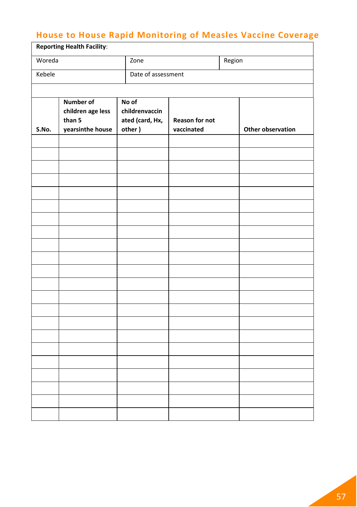# **House to House Rapid Monitoring of Measles Vaccine Coverage**

| <b>Reporting Health Facility:</b> |                            |                           |                              |        |                   |  |  |  |  |  |  |
|-----------------------------------|----------------------------|---------------------------|------------------------------|--------|-------------------|--|--|--|--|--|--|
| Woreda                            |                            | Zone                      |                              | Region |                   |  |  |  |  |  |  |
| Kebele                            |                            | Date of assessment        |                              |        |                   |  |  |  |  |  |  |
|                                   |                            |                           |                              |        |                   |  |  |  |  |  |  |
|                                   | Number of                  | No of                     |                              |        |                   |  |  |  |  |  |  |
|                                   | children age less          | childrenvaccin            |                              |        |                   |  |  |  |  |  |  |
| S.No.                             | than 5<br>yearsinthe house | ated (card, Hx,<br>other) | Reason for not<br>vaccinated |        | Other observation |  |  |  |  |  |  |
|                                   |                            |                           |                              |        |                   |  |  |  |  |  |  |
|                                   |                            |                           |                              |        |                   |  |  |  |  |  |  |
|                                   |                            |                           |                              |        |                   |  |  |  |  |  |  |
|                                   |                            |                           |                              |        |                   |  |  |  |  |  |  |
|                                   |                            |                           |                              |        |                   |  |  |  |  |  |  |
|                                   |                            |                           |                              |        |                   |  |  |  |  |  |  |
|                                   |                            |                           |                              |        |                   |  |  |  |  |  |  |
|                                   |                            |                           |                              |        |                   |  |  |  |  |  |  |
|                                   |                            |                           |                              |        |                   |  |  |  |  |  |  |
|                                   |                            |                           |                              |        |                   |  |  |  |  |  |  |
|                                   |                            |                           |                              |        |                   |  |  |  |  |  |  |
|                                   |                            |                           |                              |        |                   |  |  |  |  |  |  |
|                                   |                            |                           |                              |        |                   |  |  |  |  |  |  |
|                                   |                            |                           |                              |        |                   |  |  |  |  |  |  |
|                                   |                            |                           |                              |        |                   |  |  |  |  |  |  |
|                                   |                            |                           |                              |        |                   |  |  |  |  |  |  |
|                                   |                            |                           |                              |        |                   |  |  |  |  |  |  |
|                                   |                            |                           |                              |        |                   |  |  |  |  |  |  |
|                                   |                            |                           |                              |        |                   |  |  |  |  |  |  |
|                                   |                            |                           |                              |        |                   |  |  |  |  |  |  |
|                                   |                            |                           |                              |        |                   |  |  |  |  |  |  |
|                                   |                            |                           |                              |        |                   |  |  |  |  |  |  |
|                                   |                            |                           |                              |        |                   |  |  |  |  |  |  |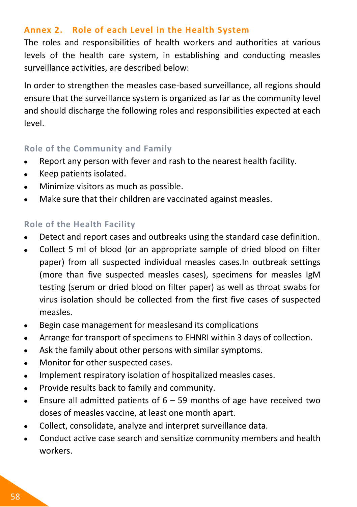#### **Annex 2. Role of each Level in the Health System**

The roles and responsibilities of health workers and authorities at various levels of the health care system, in establishing and conducting measles surveillance activities, are described below:

In order to strengthen the measles case-based surveillance, all regions should ensure that the surveillance system is organized as far as the community level and should discharge the following roles and responsibilities expected at each level.

#### **Role of the Community and Family**

- Report any person with fever and rash to the nearest health facility.  $\bullet$
- Keep patients isolated.  $\bullet$
- Minimize visitors as much as possible.  $\bullet$
- Make sure that their children are vaccinated against measles.  $\bullet$

#### **Role of the Health Facility**

- Detect and report cases and outbreaks using the standard case definition.
- Collect 5 ml of blood (or an appropriate sample of dried blood on filter  $\bullet$ paper) from all suspected individual measles cases.In outbreak settings (more than five suspected measles cases), specimens for measles IgM testing (serum or dried blood on filter paper) as well as throat swabs for virus isolation should be collected from the first five cases of suspected measles.
- Begin case management for measlesand its complications  $\bullet$
- Arrange for transport of specimens to EHNRI within 3 days of collection.  $\bullet$
- Ask the family about other persons with similar symptoms.  $\bullet$
- Monitor for other suspected cases.  $\bullet$
- Implement respiratory isolation of hospitalized measles cases.  $\bullet$
- Provide results back to family and community.  $\bullet$
- Ensure all admitted patients of  $6 59$  months of age have received two  $\bullet$ doses of measles vaccine, at least one month apart.
- Collect, consolidate, analyze and interpret surveillance data.  $\bullet$
- Conduct active case search and sensitize community members and health  $\bullet$ workers.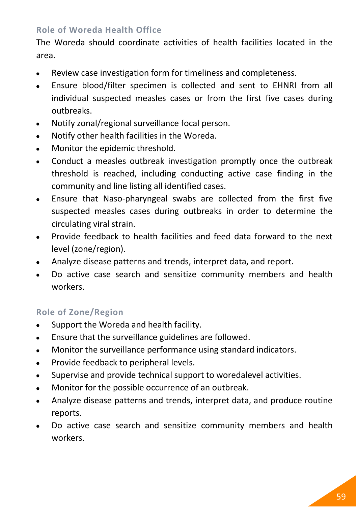#### **Role of Woreda Health Office**

The Woreda should coordinate activities of health facilities located in the area.

- $\bullet$ Review case investigation form for timeliness and completeness.
- Ensure blood/filter specimen is collected and sent to EHNRI from all  $\bullet$ individual suspected measles cases or from the first five cases during outbreaks.
- Notify zonal/regional surveillance focal person.  $\bullet$
- Notify other health facilities in the Woreda.
- Monitor the epidemic threshold.  $\bullet$
- Conduct a measles outbreak investigation promptly once the outbreak  $\bullet$ threshold is reached, including conducting active case finding in the community and line listing all identified cases.
- Ensure that Naso-pharyngeal swabs are collected from the first five  $\bullet$ suspected measles cases during outbreaks in order to determine the circulating viral strain.
- Provide feedback to health facilities and feed data forward to the next  $\bullet$ level (zone/region).
- Analyze disease patterns and trends, interpret data, and report.  $\bullet$
- Do active case search and sensitize community members and health  $\bullet$ workers.

#### **Role of Zone/Region**

- Support the Woreda and health facility.  $\bullet$
- Ensure that the surveillance guidelines are followed.  $\bullet$
- Monitor the surveillance performance using standard indicators.  $\bullet$
- Provide feedback to peripheral levels.  $\bullet$
- Supervise and provide technical support to woredalevel activities.  $\bullet$
- Monitor for the possible occurrence of an outbreak.  $\bullet$
- Analyze disease patterns and trends, interpret data, and produce routine  $\bullet$ reports.
- Do active case search and sensitize community members and health workers.